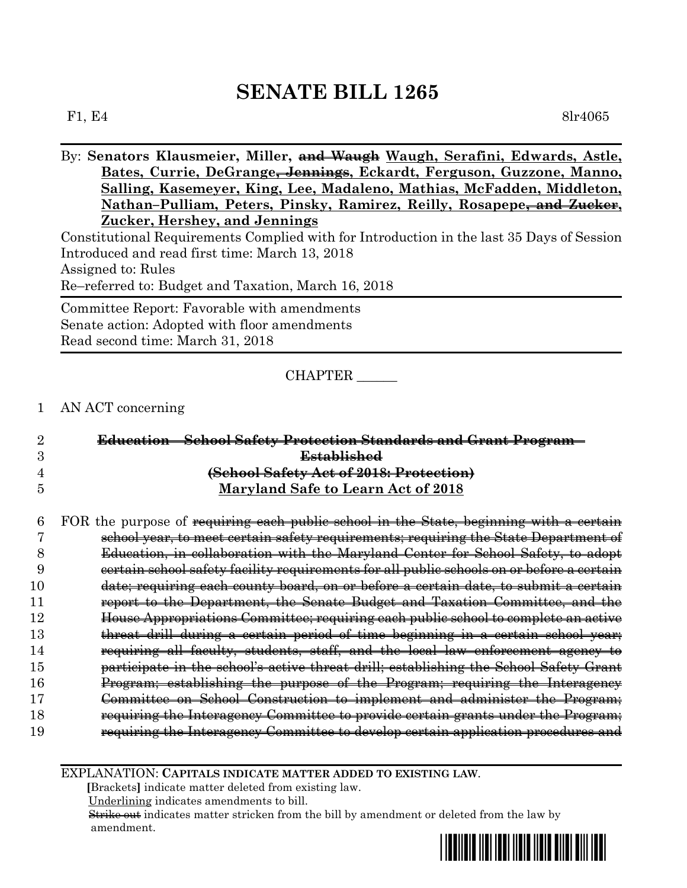F1, E4 8lr4065

By: **Senators Klausmeier, Miller, and Waugh Waugh, Serafini, Edwards, Astle, Bates, Currie, DeGrange, Jennings, Eckardt, Ferguson, Guzzone, Manno, Salling, Kasemeyer, King, Lee, Madaleno, Mathias, McFadden, Middleton, Nathan–Pulliam, Peters, Pinsky, Ramirez, Reilly, Rosapepe, and Zucker, Zucker, Hershey, and Jennings** Constitutional Requirements Complied with for Introduction in the last 35 Days of Session Introduced and read first time: March 13, 2018 Assigned to: Rules Re–referred to: Budget and Taxation, March 16, 2018 Committee Report: Favorable with amendments

Senate action: Adopted with floor amendments Read second time: March 31, 2018

#### CHAPTER \_\_\_\_\_\_

### 1 AN ACT concerning

|                | <b>Education - School Safety Protection Standards and Grant Program-</b> |
|----------------|--------------------------------------------------------------------------|
|                | <b>Established</b>                                                       |
| $\overline{4}$ | (School Safety Act of 2018: Protection)                                  |
| 5              | Maryland Safe to Learn Act of 2018                                       |
|                |                                                                          |

 FOR the purpose of requiring each public school in the State, beginning with a certain school year, to meet certain safety requirements; requiring the State Department of Education, in collaboration with the Maryland Center for School Safety, to adopt certain school safety facility requirements for all public schools on or before a certain date; requiring each county board, on or before a certain date, to submit a certain report to the Department, the Senate Budget and Taxation Committee, and the House Appropriations Committee; requiring each public school to complete an active **threat drill during a certain period of time beginning in a certain school year;**  requiring all faculty, students, staff, and the local law enforcement agency to participate in the school's active threat drill; establishing the School Safety Grant Program; establishing the purpose of the Program; requiring the Interagency Committee on School Construction to implement and administer the Program; requiring the Interagency Committee to provide certain grants under the Program; requiring the Interagency Committee to develop certain application procedures and

EXPLANATION: **CAPITALS INDICATE MATTER ADDED TO EXISTING LAW**.

 **[**Brackets**]** indicate matter deleted from existing law.

Underlining indicates amendments to bill.

 Strike out indicates matter stricken from the bill by amendment or deleted from the law by amendment.

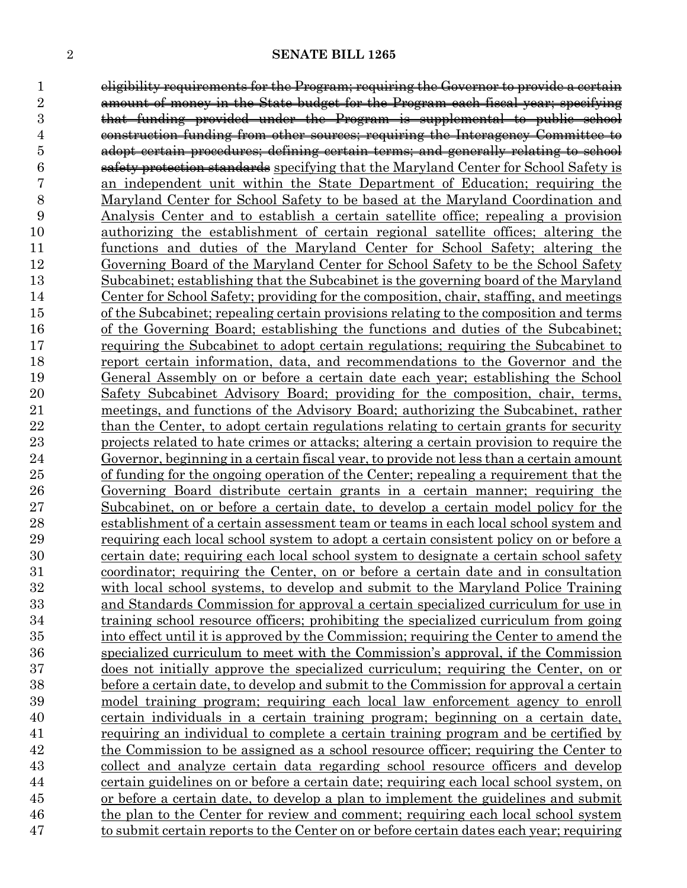eligibility requirements for the Program; requiring the Governor to provide a certain amount of money in the State budget for the Program each fiscal year; specifying that funding provided under the Program is supplemental to public school construction funding from other sources; requiring the Interagency Committee to adopt certain procedures; defining certain terms; and generally relating to school safety protection standards specifying that the Maryland Center for School Safety is an independent unit within the State Department of Education; requiring the Maryland Center for School Safety to be based at the Maryland Coordination and Analysis Center and to establish a certain satellite office; repealing a provision authorizing the establishment of certain regional satellite offices; altering the functions and duties of the Maryland Center for School Safety; altering the Governing Board of the Maryland Center for School Safety to be the School Safety Subcabinet; establishing that the Subcabinet is the governing board of the Maryland Center for School Safety; providing for the composition, chair, staffing, and meetings of the Subcabinet; repealing certain provisions relating to the composition and terms of the Governing Board; establishing the functions and duties of the Subcabinet; requiring the Subcabinet to adopt certain regulations; requiring the Subcabinet to report certain information, data, and recommendations to the Governor and the General Assembly on or before a certain date each year; establishing the School Safety Subcabinet Advisory Board; providing for the composition, chair, terms, meetings, and functions of the Advisory Board; authorizing the Subcabinet, rather 22 than the Center, to adopt certain regulations relating to certain grants for security projects related to hate crimes or attacks; altering a certain provision to require the Governor, beginning in a certain fiscal year, to provide not less than a certain amount of funding for the ongoing operation of the Center; repealing a requirement that the Governing Board distribute certain grants in a certain manner; requiring the Subcabinet, on or before a certain date, to develop a certain model policy for the establishment of a certain assessment team or teams in each local school system and requiring each local school system to adopt a certain consistent policy on or before a certain date; requiring each local school system to designate a certain school safety coordinator; requiring the Center, on or before a certain date and in consultation with local school systems, to develop and submit to the Maryland Police Training and Standards Commission for approval a certain specialized curriculum for use in training school resource officers; prohibiting the specialized curriculum from going into effect until it is approved by the Commission; requiring the Center to amend the specialized curriculum to meet with the Commission's approval, if the Commission does not initially approve the specialized curriculum; requiring the Center, on or before a certain date, to develop and submit to the Commission for approval a certain model training program; requiring each local law enforcement agency to enroll certain individuals in a certain training program; beginning on a certain date, requiring an individual to complete a certain training program and be certified by the Commission to be assigned as a school resource officer; requiring the Center to collect and analyze certain data regarding school resource officers and develop certain guidelines on or before a certain date; requiring each local school system, on or before a certain date, to develop a plan to implement the guidelines and submit the plan to the Center for review and comment; requiring each local school system to submit certain reports to the Center on or before certain dates each year; requiring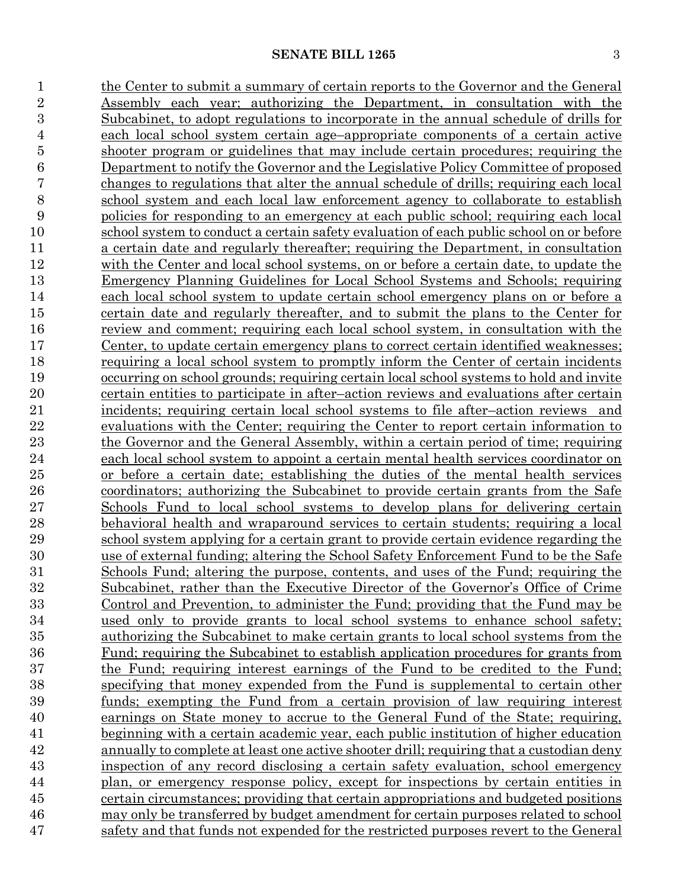1 the Center to submit a summary of certain reports to the Governor and the General Assembly each year; authorizing the Department, in consultation with the Subcabinet, to adopt regulations to incorporate in the annual schedule of drills for each local school system certain age–appropriate components of a certain active shooter program or guidelines that may include certain procedures; requiring the Department to notify the Governor and the Legislative Policy Committee of proposed changes to regulations that alter the annual schedule of drills; requiring each local school system and each local law enforcement agency to collaborate to establish policies for responding to an emergency at each public school; requiring each local school system to conduct a certain safety evaluation of each public school on or before a certain date and regularly thereafter; requiring the Department, in consultation with the Center and local school systems, on or before a certain date, to update the Emergency Planning Guidelines for Local School Systems and Schools; requiring each local school system to update certain school emergency plans on or before a certain date and regularly thereafter, and to submit the plans to the Center for review and comment; requiring each local school system, in consultation with the Center, to update certain emergency plans to correct certain identified weaknesses; requiring a local school system to promptly inform the Center of certain incidents occurring on school grounds; requiring certain local school systems to hold and invite certain entities to participate in after–action reviews and evaluations after certain incidents; requiring certain local school systems to file after–action reviews and evaluations with the Center; requiring the Center to report certain information to the Governor and the General Assembly, within a certain period of time; requiring each local school system to appoint a certain mental health services coordinator on or before a certain date; establishing the duties of the mental health services coordinators; authorizing the Subcabinet to provide certain grants from the Safe Schools Fund to local school systems to develop plans for delivering certain behavioral health and wraparound services to certain students; requiring a local school system applying for a certain grant to provide certain evidence regarding the use of external funding; altering the School Safety Enforcement Fund to be the Safe Schools Fund; altering the purpose, contents, and uses of the Fund; requiring the Subcabinet, rather than the Executive Director of the Governor's Office of Crime Control and Prevention, to administer the Fund; providing that the Fund may be used only to provide grants to local school systems to enhance school safety; authorizing the Subcabinet to make certain grants to local school systems from the Fund; requiring the Subcabinet to establish application procedures for grants from the Fund; requiring interest earnings of the Fund to be credited to the Fund; specifying that money expended from the Fund is supplemental to certain other funds; exempting the Fund from a certain provision of law requiring interest earnings on State money to accrue to the General Fund of the State; requiring, beginning with a certain academic year, each public institution of higher education annually to complete at least one active shooter drill; requiring that a custodian deny inspection of any record disclosing a certain safety evaluation, school emergency plan, or emergency response policy, except for inspections by certain entities in certain circumstances; providing that certain appropriations and budgeted positions may only be transferred by budget amendment for certain purposes related to school 47 safety and that funds not expended for the restricted purposes revert to the General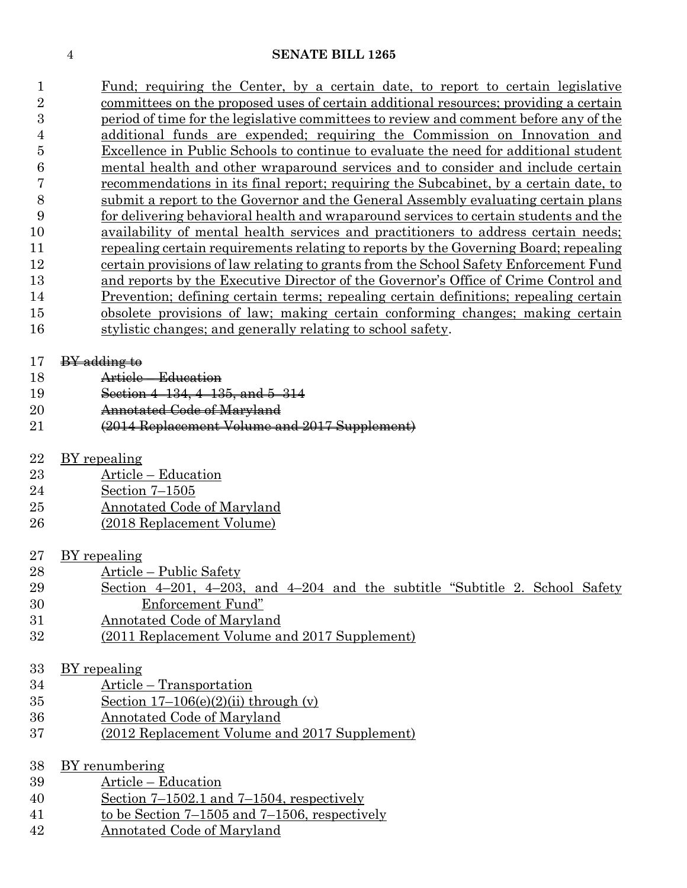|    | Fund; requiring the Center, by a certain date, to report to certain legislative       |
|----|---------------------------------------------------------------------------------------|
| 2  | committees on the proposed uses of certain additional resources; providing a certain  |
| 3  | period of time for the legislative committees to review and comment before any of the |
| 4  | additional funds are expended; requiring the Commission on Innovation and             |
| 5  | Excellence in Public Schools to continue to evaluate the need for additional student  |
| 6  | mental health and other wraparound services and to consider and include certain       |
|    | recommendations in its final report; requiring the Subcabinet, by a certain date, to  |
| 8  | submit a report to the Governor and the General Assembly evaluating certain plans     |
| 9  | for delivering behavioral health and wraparound services to certain students and the  |
| 10 | availability of mental health services and practitioners to address certain needs;    |
| 11 | repealing certain requirements relating to reports by the Governing Board; repealing  |
| 12 | certain provisions of law relating to grants from the School Safety Enforcement Fund  |
| 13 | and reports by the Executive Director of the Governor's Office of Crime Control and   |
| 14 | Prevention; defining certain terms; repealing certain definitions; repealing certain  |
| 15 | obsolete provisions of law; making certain conforming changes; making certain         |
| 16 | stylistic changes; and generally relating to school safety.                           |
|    |                                                                                       |

#### 17 BY adding to

- Article Education
- Section 4–134, 4–135, and 5–314
- **Annotated Code of Maryland**
- (2014 Replacement Volume and 2017 Supplement)
- BY repealing
- Article Education
- Section 7–1505
- Annotated Code of Maryland
- (2018 Replacement Volume)

## BY repealing

- Article Public Safety
- Section 4–201, 4–203, and 4–204 and the subtitle "Subtitle 2. School Safety Enforcement Fund"
- Annotated Code of Maryland
- (2011 Replacement Volume and 2017 Supplement)

### BY repealing

- Article Transportation
- Section  $17-106(e)(2)(ii)$  through (v)
- Annotated Code of Maryland
- (2012 Replacement Volume and 2017 Supplement)

# BY renumbering

- Article Education
- Section 7–1502.1 and 7–1504, respectively
- to be Section 7–1505 and 7–1506, respectively
- Annotated Code of Maryland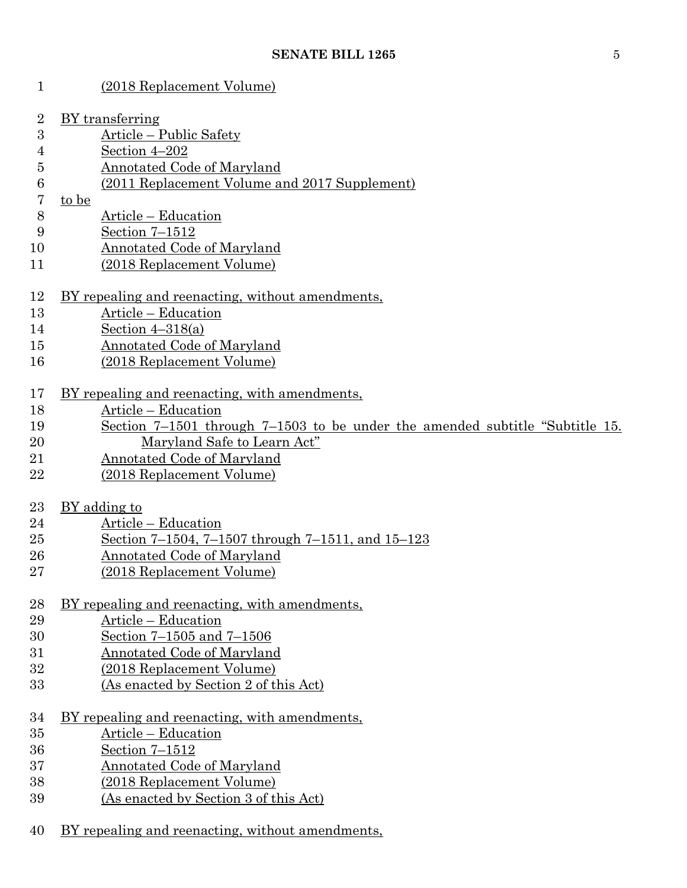| 1                | (2018 Replacement Volume)                                                    |  |  |  |  |  |
|------------------|------------------------------------------------------------------------------|--|--|--|--|--|
| $\overline{2}$   | BY transferring                                                              |  |  |  |  |  |
| 3                | Article – Public Safety                                                      |  |  |  |  |  |
| 4                | Section 4-202                                                                |  |  |  |  |  |
| 5                | <b>Annotated Code of Maryland</b>                                            |  |  |  |  |  |
| $\boldsymbol{6}$ | (2011 Replacement Volume and 2017 Supplement)                                |  |  |  |  |  |
| 7                | to be                                                                        |  |  |  |  |  |
| 8                | Article – Education                                                          |  |  |  |  |  |
| 9                | Section 7-1512                                                               |  |  |  |  |  |
| 10               | <b>Annotated Code of Maryland</b>                                            |  |  |  |  |  |
|                  |                                                                              |  |  |  |  |  |
| 11               | (2018 Replacement Volume)                                                    |  |  |  |  |  |
| 12               | BY repealing and reenacting, without amendments,                             |  |  |  |  |  |
| 13               | Article – Education                                                          |  |  |  |  |  |
| 14               | Section $4-318(a)$                                                           |  |  |  |  |  |
| 15               | <b>Annotated Code of Maryland</b>                                            |  |  |  |  |  |
| 16               | (2018 Replacement Volume)                                                    |  |  |  |  |  |
| 17               | BY repealing and reenacting, with amendments,                                |  |  |  |  |  |
| 18               | Article – Education                                                          |  |  |  |  |  |
| 19               | Section 7–1501 through 7–1503 to be under the amended subtitle "Subtitle 15. |  |  |  |  |  |
| 20               | Maryland Safe to Learn Act"                                                  |  |  |  |  |  |
| 21               | Annotated Code of Maryland                                                   |  |  |  |  |  |
| 22               | (2018 Replacement Volume)                                                    |  |  |  |  |  |
|                  |                                                                              |  |  |  |  |  |
| 23               | <u>BY</u> adding to                                                          |  |  |  |  |  |
| 24               | Article – Education                                                          |  |  |  |  |  |
| 25               | Section 7-1504, 7-1507 through 7-1511, and 15-123                            |  |  |  |  |  |
| 26               | Annotated Code of Maryland                                                   |  |  |  |  |  |
| 27               | (2018 Replacement Volume)                                                    |  |  |  |  |  |
|                  |                                                                              |  |  |  |  |  |
| 28               | BY repealing and reenacting, with amendments,                                |  |  |  |  |  |
| 29               | Article – Education                                                          |  |  |  |  |  |
| 30               | Section 7-1505 and 7-1506                                                    |  |  |  |  |  |
| 31               | Annotated Code of Maryland                                                   |  |  |  |  |  |
| 32               | (2018 Replacement Volume)                                                    |  |  |  |  |  |
| 33               | (As enacted by Section 2 of this Act)                                        |  |  |  |  |  |
| 34               | BY repealing and reenacting, with amendments,                                |  |  |  |  |  |
| 35               | Article – Education                                                          |  |  |  |  |  |
| 36               | Section $7 - 1512$                                                           |  |  |  |  |  |
| 37               | <b>Annotated Code of Maryland</b>                                            |  |  |  |  |  |
| 38               | (2018 Replacement Volume)                                                    |  |  |  |  |  |
| 39               | (As enacted by Section 3 of this Act)                                        |  |  |  |  |  |
|                  |                                                                              |  |  |  |  |  |
| 40               | BY repealing and reenacting, without amendments,                             |  |  |  |  |  |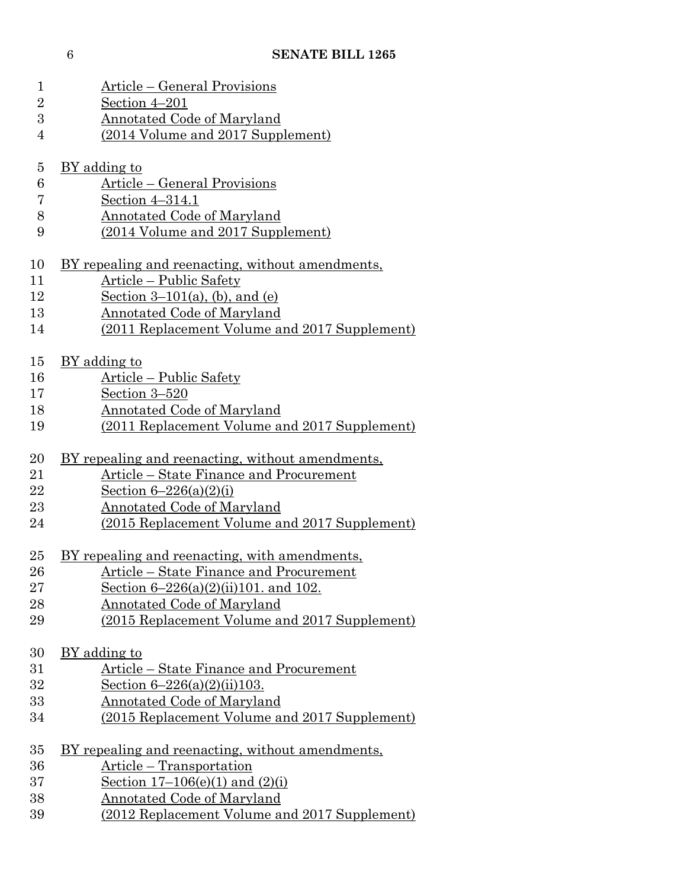| $\mathbf 1$    | Article – General Provisions                            |
|----------------|---------------------------------------------------------|
| $\overline{2}$ | Section 4-201                                           |
| 3              | <b>Annotated Code of Maryland</b>                       |
| $\overline{4}$ | (2014 Volume and 2017 Supplement)                       |
|                |                                                         |
| $\overline{5}$ | BY adding to                                            |
| 6              | Article – General Provisions                            |
| 7              | Section 4-314.1                                         |
| 8              | <b>Annotated Code of Maryland</b>                       |
| 9              | (2014 Volume and 2017 Supplement)                       |
| 10             | <u>BY repealing and reenacting, without amendments,</u> |
| 11             | Article – Public Safety                                 |
| 12             | Section $3-101(a)$ , (b), and (e)                       |
| 13             | Annotated Code of Maryland                              |
| 14             | (2011 Replacement Volume and 2017 Supplement)           |
|                |                                                         |
| 15             | BY adding to                                            |
| 16             | Article – Public Safety                                 |
| 17             | Section 3-520                                           |
| 18             | <b>Annotated Code of Maryland</b>                       |
| 19             | (2011 Replacement Volume and 2017 Supplement)           |
|                |                                                         |
| 20             | <u>BY repealing and reenacting, without amendments,</u> |
| 21             | Article - State Finance and Procurement                 |
| 22             | Section $6 - 226(a)(2)(i)$                              |
| 23             | Annotated Code of Maryland                              |
| 24             | (2015 Replacement Volume and 2017 Supplement)           |
|                |                                                         |
| $25\,$         | BY repealing and reenacting, with amendments,           |
| $26\,$         | Article – State Finance and Procurement                 |
| $27\,$         | Section $6-226(a)(2)(ii)101$ . and 102.                 |
| 28             | <u>Annotated Code of Maryland</u>                       |
| 29             | (2015 Replacement Volume and 2017 Supplement)           |
| 30             | BY adding to                                            |
| 31             | Article – State Finance and Procurement                 |
| 32             | Section $6 - 226(a)(2)(ii)103$ .                        |
| 33             | <u>Annotated Code of Maryland</u>                       |
| 34             | (2015 Replacement Volume and 2017 Supplement)           |
|                |                                                         |
| $35\,$         | <u>BY repealing and reenacting, without amendments,</u> |
| 36             | <u>Article – Transportation</u>                         |
| 37             | Section $17-106(e)(1)$ and $(2)(i)$                     |
| 38             | <b>Annotated Code of Maryland</b>                       |
| 39             | (2012 Replacement Volume and 2017 Supplement)           |
|                |                                                         |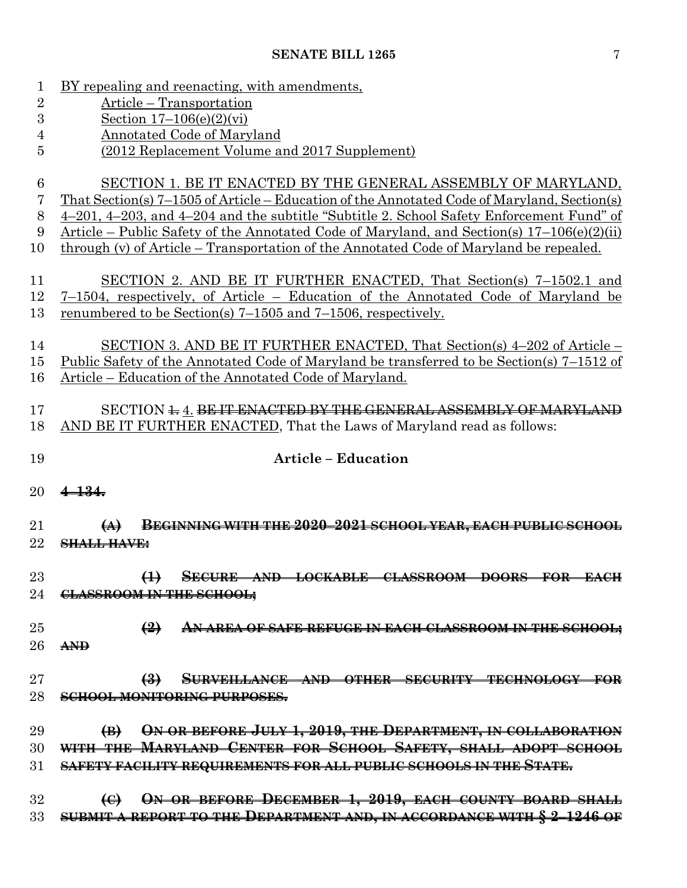BY repealing and reenacting, with amendments,

 Article – Transportation Section 17–106(e)(2)(vi) Annotated Code of Maryland (2012 Replacement Volume and 2017 Supplement) SECTION 1. BE IT ENACTED BY THE GENERAL ASSEMBLY OF MARYLAND, That Section(s) 7–1505 of Article – Education of the Annotated Code of Maryland, Section(s) 4–201, 4–203, and 4–204 and the subtitle "Subtitle 2. School Safety Enforcement Fund" of Article – Public Safety of the Annotated Code of Maryland, and Section(s) 17–106(e)(2)(ii) through (v) of Article – Transportation of the Annotated Code of Maryland be repealed. SECTION 2. AND BE IT FURTHER ENACTED, That Section(s) 7–1502.1 and 7–1504, respectively, of Article – Education of the Annotated Code of Maryland be renumbered to be Section(s) 7–1505 and 7–1506, respectively. SECTION 3. AND BE IT FURTHER ENACTED, That Section(s) 4–202 of Article – Public Safety of the Annotated Code of Maryland be transferred to be Section(s) 7–1512 of Article – Education of the Annotated Code of Maryland. 17 SECTION 4.4. BE IT ENACTED BY THE GENERAL ASSEMBLY OF MARYLAND AND BE IT FURTHER ENACTED, That the Laws of Maryland read as follows: **Article – Education 4–134. (A) BEGINNING WITH THE 2020–2021 SCHOOL YEAR, EACH PUBLIC SCHOOL SHALL HAVE: (1) SECURE AND LOCKABLE CLASSROOM DOORS FOR EACH CLASSROOM IN THE SCHOOL; (2) AN AREA OF SAFE REFUGE IN EACH CLASSROOM IN THE SCHOOL; AND (3) SURVEILLANCE AND OTHER SECURITY TECHNOLOGY FOR SCHOOL MONITORING PURPOSES. (B) ON OR BEFORE JULY 1, 2019, THE DEPARTMENT, IN COLLABORATION WITH THE MARYLAND CENTER FOR SCHOOL SAFETY, SHALL ADOPT SCHOOL SAFETY FACILITY REQUIREMENTS FOR ALL PUBLIC SCHOOLS IN THE STATE. (C) ON OR BEFORE DECEMBER 1, 2019, EACH COUNTY BOARD SHALL SUBMIT A REPORT TO THE DEPARTMENT AND, IN ACCORDANCE WITH § 2–1246 OF**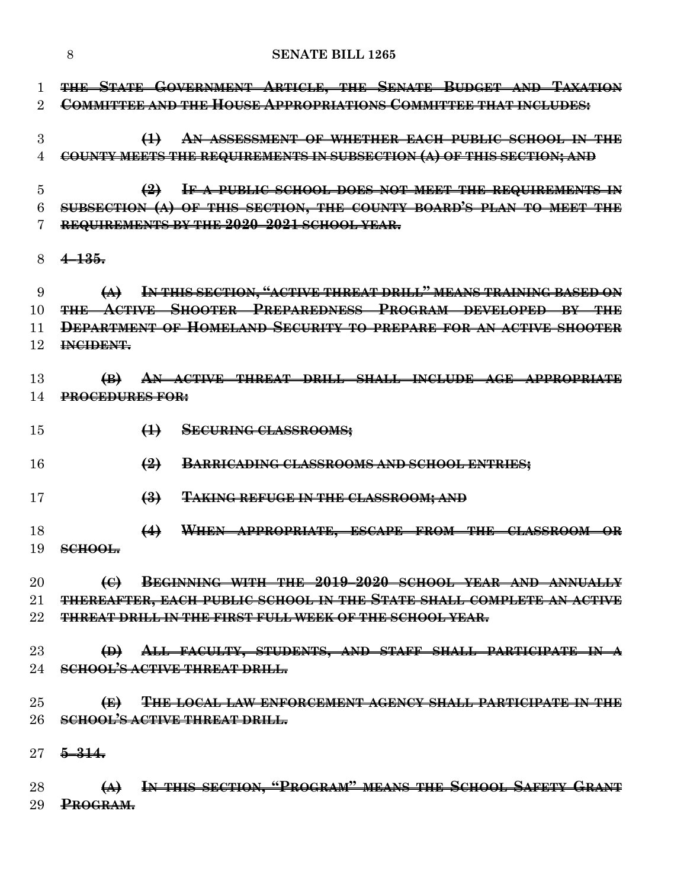|                     | 8<br><b>SENATE BILL 1265</b>                                                                                                                                                                                                            |  |
|---------------------|-----------------------------------------------------------------------------------------------------------------------------------------------------------------------------------------------------------------------------------------|--|
| 1<br>2              | THE STATE GOVERNMENT ARTICLE, THE SENATE BUDGET AND TAXATION<br><b>COMMITTEE AND THE HOUSE APPROPRIATIONS COMMITTEE THAT INCLUDES:</b>                                                                                                  |  |
| 3<br>4              | AN ASSESSMENT OF WHETHER EACH PUBLIC SCHOOL IN THE<br>$\bigoplus$<br>COUNTY MEETS THE REQUIREMENTS IN SUBSECTION (A) OF THIS SECTION; AND                                                                                               |  |
| 5<br>6              | IF A PUBLIC SCHOOL DOES NOT MEET THE REQUIREMENTS IN<br>$\left(2\right)$<br>SUBSECTION (A) OF THIS SECTION, THE COUNTY BOARD'S PLAN TO MEET THE<br>REQUIREMENTS BY THE 2020-2021 SCHOOL YEAR.                                           |  |
| 8                   | $4 - 135.$                                                                                                                                                                                                                              |  |
| 9<br>10<br>11<br>12 | IN THIS SECTION, "ACTIVE THREAT DRILL" MEANS TRAINING BASED ON<br>$\leftrightarrow$<br>THE ACTIVE SHOOTER PREPAREDNESS PROGRAM DEVELOPED BY THE<br>DEPARTMENT OF HOMELAND SECURITY TO PREPARE FOR AN ACTIVE SHOOTER<br><b>INCIDENT.</b> |  |
| 13<br>14            | AN ACTIVE THREAT DRILL SHALL INCLUDE AGE APPROPRIATE<br>$\bigoplus$<br><b>PROCEDURES FOR:</b>                                                                                                                                           |  |
| 15                  | $\leftrightarrow$<br><b>SECURING CLASSROOMS;</b>                                                                                                                                                                                        |  |
| 16                  | $\left(\frac{9}{2}\right)$<br>BARRICADING CLASSROOMS AND SCHOOL ENTRIES;                                                                                                                                                                |  |
| 17                  | $\left(\frac{3}{2}\right)$<br><b>TAKING REFUGE IN THE CLASSROOM; AND</b>                                                                                                                                                                |  |
| 18<br>19            | WHEN APPROPRIATE, ESCAPE FROM THE CLASSROOM OR<br>$\leftrightarrow$<br>$SCHOOL$                                                                                                                                                         |  |
| 20                  | BEGINNING WITH THE 2019-2020 SCHOOL YEAR AND ANNUALLY<br>$\Theta$                                                                                                                                                                       |  |
| $21\,$              | THEREAFTER, EACH PUBLIC SCHOOL IN THE STATE SHALL COMPLETE AN ACTIVE                                                                                                                                                                    |  |
| 22                  | THREAT DRILL IN THE FIRST FULL WEEK OF THE SCHOOL YEAR.                                                                                                                                                                                 |  |
| 23                  | (D) ALL FACULTY, STUDENTS, AND STAFF SHALL PARTICIPATE IN A                                                                                                                                                                             |  |
|                     | 24 SCHOOL'S ACTIVE THREAT DRILL.                                                                                                                                                                                                        |  |
| $25\,$              | $\left( \bigoplus \right)$<br><b>THE LOCAL LAW ENFORCEMENT AGENCY SHALL PARTICIPATE IN THE</b>                                                                                                                                          |  |
| 26                  | <b>SCHOOL'S ACTIVE THREAT DRILL.</b>                                                                                                                                                                                                    |  |
|                     | 27 <del>5 314.</del>                                                                                                                                                                                                                    |  |
| 28<br>29            | (A) IN THIS SECTION, "PROGRAM" MEANS THE SCHOOL SAFETY GRANT<br><b>PROGRAM.</b>                                                                                                                                                         |  |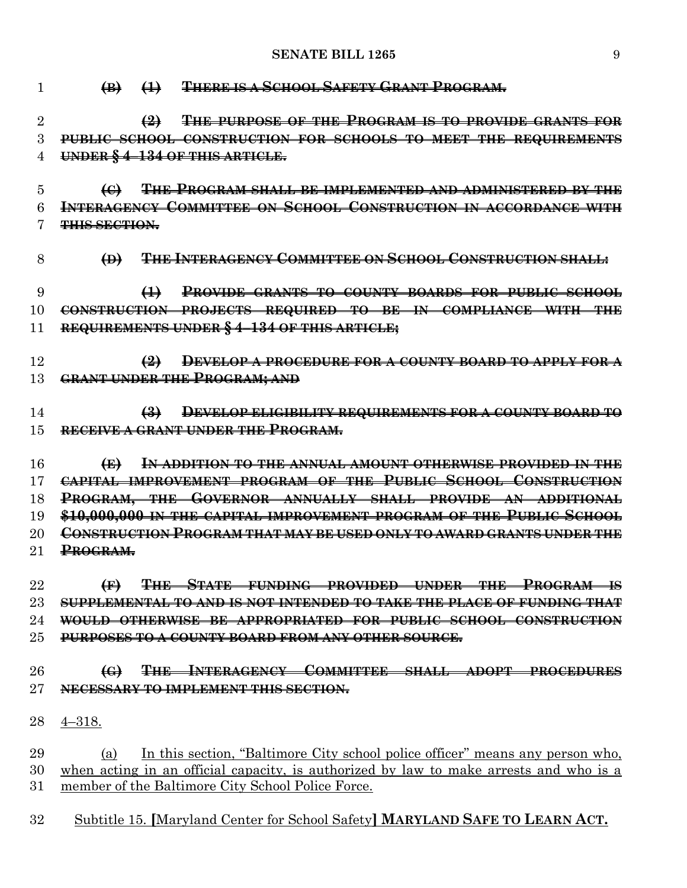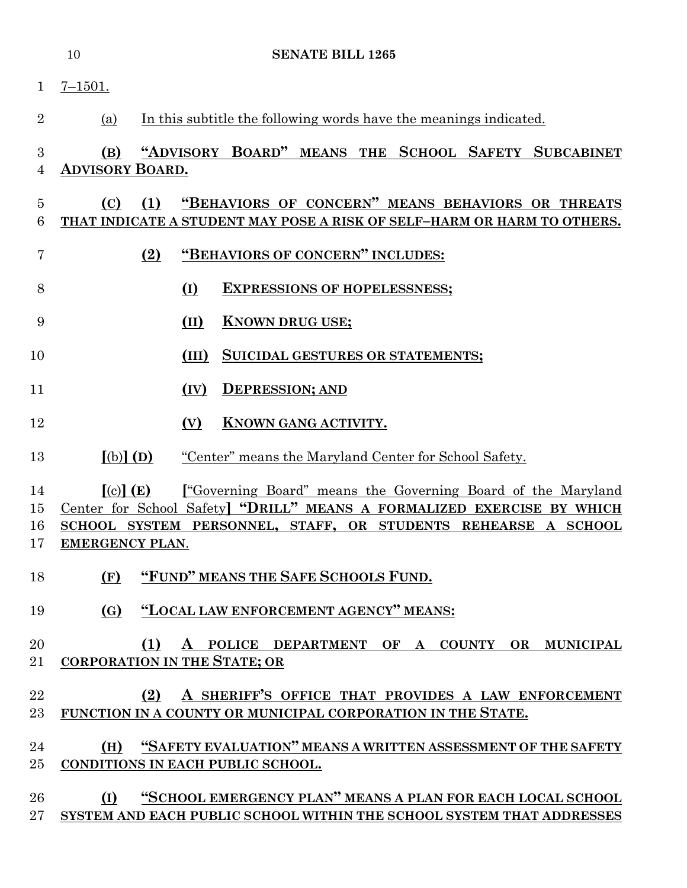|                      | <b>SENATE BILL 1265</b><br>10                                                                                                                                                                                                                                           |
|----------------------|-------------------------------------------------------------------------------------------------------------------------------------------------------------------------------------------------------------------------------------------------------------------------|
| $\mathbf{1}$         | $7 - 1501.$                                                                                                                                                                                                                                                             |
| $\overline{2}$       | In this subtitle the following words have the meanings indicated.<br>(a)                                                                                                                                                                                                |
| 3<br>4               | "ADVISORY BOARD" MEANS THE SCHOOL SAFETY SUBCABINET<br>(B)<br><b>ADVISORY BOARD.</b>                                                                                                                                                                                    |
| $\overline{5}$<br>6  | "BEHAVIORS OF CONCERN" MEANS BEHAVIORS OR THREATS<br>(C)<br>(1)<br>THAT INDICATE A STUDENT MAY POSE A RISK OF SELF-HARM OR HARM TO OTHERS.                                                                                                                              |
| 7                    | "BEHAVIORS OF CONCERN" INCLUDES:<br>(2)                                                                                                                                                                                                                                 |
| 8                    | (I)<br><b>EXPRESSIONS OF HOPELESSNESS;</b>                                                                                                                                                                                                                              |
| 9                    | <b>KNOWN DRUG USE;</b><br>(II)                                                                                                                                                                                                                                          |
| 10                   | (III)<br>SUICIDAL GESTURES OR STATEMENTS;                                                                                                                                                                                                                               |
| 11                   | <b>DEPRESSION; AND</b><br>(IV)                                                                                                                                                                                                                                          |
| 12                   | (V)<br><b>KNOWN GANG ACTIVITY.</b>                                                                                                                                                                                                                                      |
| 13                   | $(b)$ $(D)$<br>"Center" means the Maryland Center for School Safety.                                                                                                                                                                                                    |
| 14<br>15<br>16<br>17 | $\left[$ (c) $\right]$ (E)<br><u>I</u> "Governing Board" means the Governing Board of the Maryland<br>Center for School Safety] "DRILL" MEANS A FORMALIZED EXERCISE BY WHICH<br>SCHOOL SYSTEM PERSONNEL, STAFF, OR STUDENTS REHEARSE A SCHOOL<br><b>EMERGENCY PLAN.</b> |
| 18                   | "FUND" MEANS THE SAFE SCHOOLS FUND.<br>(F)                                                                                                                                                                                                                              |
| 19                   | "LOCAL LAW ENFORCEMENT AGENCY" MEANS:<br>(G)                                                                                                                                                                                                                            |
| 20<br>21             | A POLICE DEPARTMENT OF A COUNTY OR MUNICIPAL<br>(1)<br><b>CORPORATION IN THE STATE; OR</b>                                                                                                                                                                              |
| 22<br>23             | A SHERIFF'S OFFICE THAT PROVIDES A LAW ENFORCEMENT<br>(2)<br>FUNCTION IN A COUNTY OR MUNICIPAL CORPORATION IN THE STATE.                                                                                                                                                |
| 24<br>25             | "SAFETY EVALUATION" MEANS A WRITTEN ASSESSMENT OF THE SAFETY<br>(H)<br>CONDITIONS IN EACH PUBLIC SCHOOL.                                                                                                                                                                |
| 26<br>27             | "SCHOOL EMERGENCY PLAN" MEANS A PLAN FOR EACH LOCAL SCHOOL<br>(I)<br>SYSTEM AND EACH PUBLIC SCHOOL WITHIN THE SCHOOL SYSTEM THAT ADDRESSES                                                                                                                              |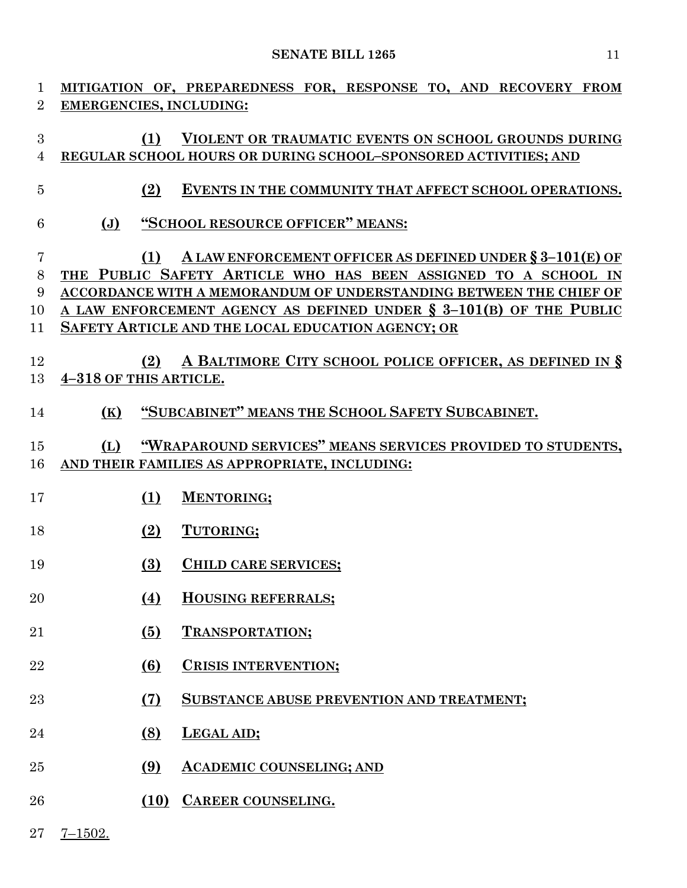| 1                       |                                | MITIGATION OF, PREPAREDNESS FOR, RESPONSE TO, AND RECOVERY FROM                                                                                                                                                                                                                                                                   |
|-------------------------|--------------------------------|-----------------------------------------------------------------------------------------------------------------------------------------------------------------------------------------------------------------------------------------------------------------------------------------------------------------------------------|
| $\overline{2}$          | <b>EMERGENCIES, INCLUDING:</b> |                                                                                                                                                                                                                                                                                                                                   |
| 3<br>$\overline{4}$     | (1)                            | VIOLENT OR TRAUMATIC EVENTS ON SCHOOL GROUNDS DURING<br>REGULAR SCHOOL HOURS OR DURING SCHOOL-SPONSORED ACTIVITIES; AND                                                                                                                                                                                                           |
| $\overline{5}$          | (2)                            | EVENTS IN THE COMMUNITY THAT AFFECT SCHOOL OPERATIONS.                                                                                                                                                                                                                                                                            |
| 6                       | $(\mathbf{J})$                 | "SCHOOL RESOURCE OFFICER" MEANS:                                                                                                                                                                                                                                                                                                  |
| 7<br>8<br>9<br>10<br>11 | (1)                            | A LAW ENFORCEMENT OFFICER AS DEFINED UNDER $\S 3-101(E)$ OF<br>THE PUBLIC SAFETY ARTICLE WHO HAS BEEN ASSIGNED TO A SCHOOL IN<br>ACCORDANCE WITH A MEMORANDUM OF UNDERSTANDING BETWEEN THE CHIEF OF<br>A LAW ENFORCEMENT AGENCY AS DEFINED UNDER $\S$ 3-101(B) OF THE PUBLIC<br>SAFETY ARTICLE AND THE LOCAL EDUCATION AGENCY; OR |
| 12<br>13                | (2)<br>4-318 OF THIS ARTICLE.  | A BALTIMORE CITY SCHOOL POLICE OFFICER, AS DEFINED IN §                                                                                                                                                                                                                                                                           |
| 14                      | (K)                            | "SUBCABINET" MEANS THE SCHOOL SAFETY SUBCABINET.                                                                                                                                                                                                                                                                                  |
| 15<br>16                | (L)                            | "WRAPAROUND SERVICES" MEANS SERVICES PROVIDED TO STUDENTS,<br>AND THEIR FAMILIES AS APPROPRIATE, INCLUDING:                                                                                                                                                                                                                       |
| 17                      | (1)                            | <b>MENTORING;</b>                                                                                                                                                                                                                                                                                                                 |
| 18                      | (2)                            | TUTORING;                                                                                                                                                                                                                                                                                                                         |
| 19                      | (3)                            | <b>CHILD CARE SERVICES;</b>                                                                                                                                                                                                                                                                                                       |
| 20                      | (4)                            | <b>HOUSING REFERRALS;</b>                                                                                                                                                                                                                                                                                                         |
| 21                      | (5)                            | <b>TRANSPORTATION;</b>                                                                                                                                                                                                                                                                                                            |
| 22                      | (6)                            | <b>CRISIS INTERVENTION;</b>                                                                                                                                                                                                                                                                                                       |
| 23                      | (7)                            | <b>SUBSTANCE ABUSE PREVENTION AND TREATMENT;</b>                                                                                                                                                                                                                                                                                  |
| 24                      | (8)                            | LEGAL AID;                                                                                                                                                                                                                                                                                                                        |
| 25                      | (9)                            | <b>ACADEMIC COUNSELING; AND</b>                                                                                                                                                                                                                                                                                                   |
| 26                      | (10)                           | CAREER COUNSELING.                                                                                                                                                                                                                                                                                                                |

7–1502.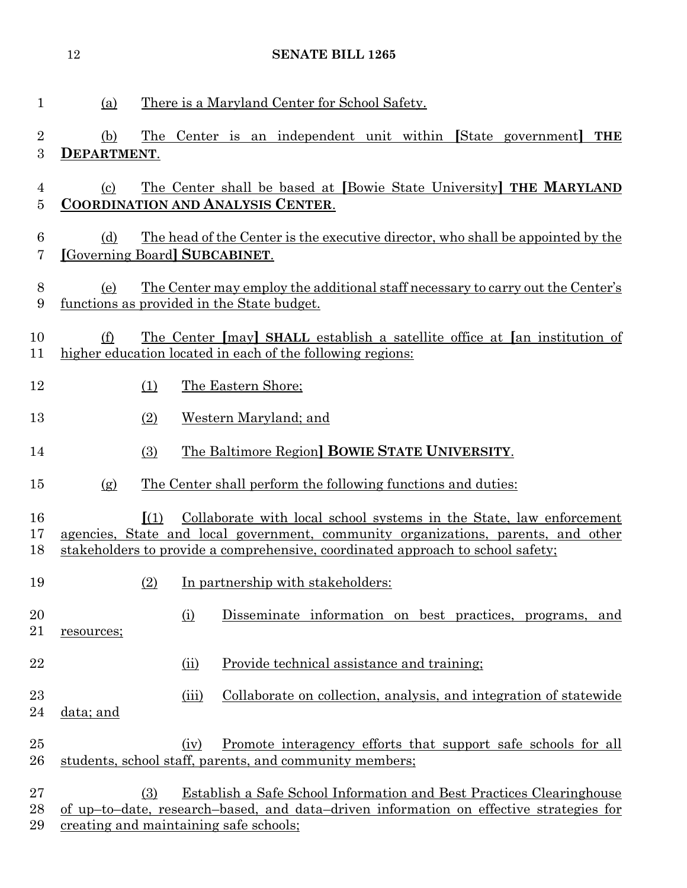| 1                   | (a)                                  |                 |       | There is a Maryland Center for School Safety.                                                                                                                                                                                               |
|---------------------|--------------------------------------|-----------------|-------|---------------------------------------------------------------------------------------------------------------------------------------------------------------------------------------------------------------------------------------------|
| 2<br>3              | (b)<br>DEPARTMENT.                   | The             |       | Center is an independent unit within [State government]<br><b>THE</b>                                                                                                                                                                       |
| 4<br>$\overline{5}$ | (c)                                  |                 |       | The Center shall be based at [Bowie State University] THE MARYLAND<br><b>COORDINATION AND ANALYSIS CENTER.</b>                                                                                                                              |
| 6<br>7              | (d)<br>[Governing Board] SUBCABINET. |                 |       | The head of the Center is the executive director, who shall be appointed by the                                                                                                                                                             |
| 8<br>9              | (e)                                  |                 |       | <u>The Center may employ the additional staff necessary to carry out the Center's</u><br>functions as provided in the State budget.                                                                                                         |
| 10<br>11            | (f)                                  |                 |       | <u>The Center [may] SHALL establish a satellite office at [an institution of</u><br>higher education located in each of the following regions:                                                                                              |
| 12                  |                                      | (1)             |       | The Eastern Shore;                                                                                                                                                                                                                          |
| 13                  |                                      | (2)             |       | Western Maryland; and                                                                                                                                                                                                                       |
| 14                  |                                      | (3)             |       | The Baltimore Region BOWIE STATE UNIVERSITY.                                                                                                                                                                                                |
| 15                  | (g)                                  |                 |       | The Center shall perform the following functions and duties:                                                                                                                                                                                |
| 16<br>17<br>18      |                                      | $\mathbf{I}(1)$ |       | Collaborate with local school systems in the State, law enforcement<br>agencies, State and local government, community organizations, parents, and other<br>stakeholders to provide a comprehensive, coordinated approach to school safety; |
| 19                  |                                      | (2)             |       | In partnership with stakeholders:                                                                                                                                                                                                           |
| 20<br>21            | resources;                           |                 | (i)   | Disseminate information on best practices, programs, and                                                                                                                                                                                    |
| 22                  |                                      |                 | (ii)  | Provide technical assistance and training;                                                                                                                                                                                                  |
| 23<br>24            | data; and                            |                 | (iii) | Collaborate on collection, analysis, and integration of statewide                                                                                                                                                                           |
| 25<br>$26\,$        |                                      |                 | (iv)  | Promote interagency efforts that support safe schools for all<br>students, school staff, parents, and community members;                                                                                                                    |
| 27<br>28<br>29      |                                      | (3)             |       | Establish a Safe School Information and Best Practices Clearinghouse<br>of up-to-date, research-based, and data-driven information on effective strategies for<br><u>creating and maintaining safe schools;</u>                             |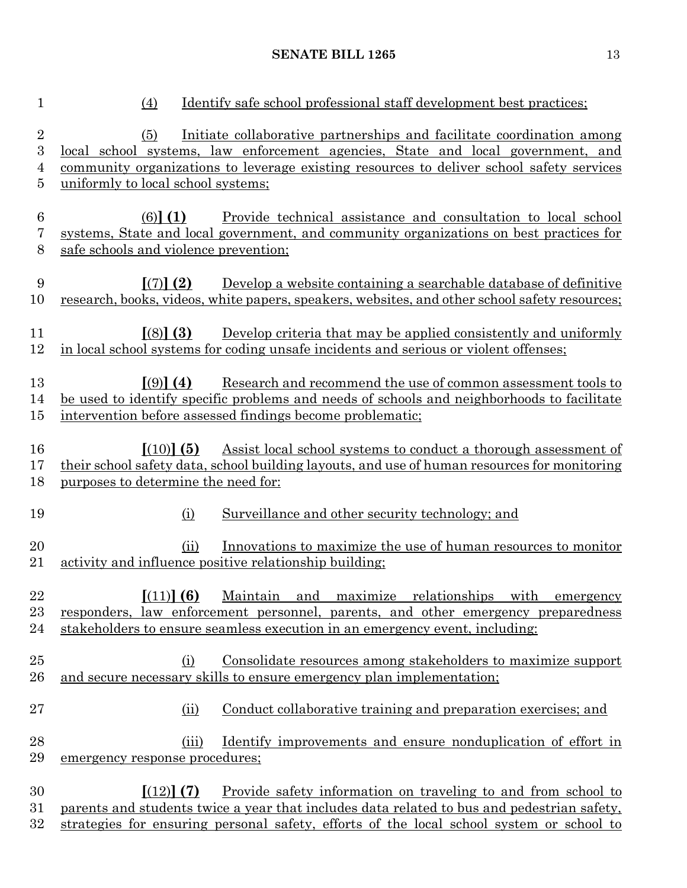| $\mathbf{1}$                  | <u>Identify</u> safe school professional staff development best practices;<br>(4)                                                                                                                                                                                                                        |
|-------------------------------|----------------------------------------------------------------------------------------------------------------------------------------------------------------------------------------------------------------------------------------------------------------------------------------------------------|
| $\overline{2}$<br>3<br>4<br>5 | Initiate collaborative partnerships and facilitate coordination among<br>(5)<br><u>local school systems, law enforcement agencies, State and local government, and</u><br>community organizations to leverage existing resources to deliver school safety services<br>uniformly to local school systems; |
| $\,6$<br>7<br>8               | $(6)$ (1)<br>Provide technical assistance and consultation to local school<br>systems, State and local government, and community organizations on best practices for<br>safe schools and violence prevention;                                                                                            |
| 9<br>10                       | $\lbrack (7) \rbrack (2)$<br>Develop a website containing a searchable database of definitive<br>research, books, videos, white papers, speakers, websites, and other school safety resources;                                                                                                           |
| 11<br>12                      | $(8)$ (3)<br>Develop criteria that may be applied consistently and uniformly<br>in local school systems for coding unsafe incidents and serious or violent offenses;                                                                                                                                     |
| 13<br>14<br>$15\,$            | Research and recommend the use of common assessment tools to<br>$(9)$ (4)<br>be used to identify specific problems and needs of schools and neighborhoods to facilitate<br>intervention before assessed findings become problematic;                                                                     |
| 16<br>17<br>18                | Assist local school systems to conduct a thorough assessment of<br>$[(10)]$ (5)<br>their school safety data, school building layouts, and use of human resources for monitoring<br>purposes to determine the need for:                                                                                   |
| 19                            | Surveillance and other security technology; and<br>(i)                                                                                                                                                                                                                                                   |
| 20<br>21                      | Innovations to maximize the use of human resources to monitor<br>(ii)<br>activity and influence positive relationship building;                                                                                                                                                                          |
| 22<br>23<br>24                | $(11)$ (6) Maintain and maximize relationships with emergency<br>responders, law enforcement personnel, parents, and other emergency preparedness<br>stakeholders to ensure seamless execution in an emergency event, including:                                                                         |
| $25\,$<br>26                  | <u>Consolidate resources among stakeholders to maximize support</u><br>(i)<br>and secure necessary skills to ensure emergency plan implementation;                                                                                                                                                       |
| $27\,$                        | Conduct collaborative training and preparation exercises; and<br>(ii)                                                                                                                                                                                                                                    |
| 28<br>29                      | Identify improvements and ensure nonduplication of effort in<br>(iii)<br>emergency response procedures;                                                                                                                                                                                                  |
| 30<br>31<br>$32\,$            | $(12)$ (7)<br><u>Provide safety information on traveling to and from school to</u><br>parents and students twice a year that includes data related to bus and pedestrian safety,<br>strategies for ensuring personal safety, efforts of the local school system or school to                             |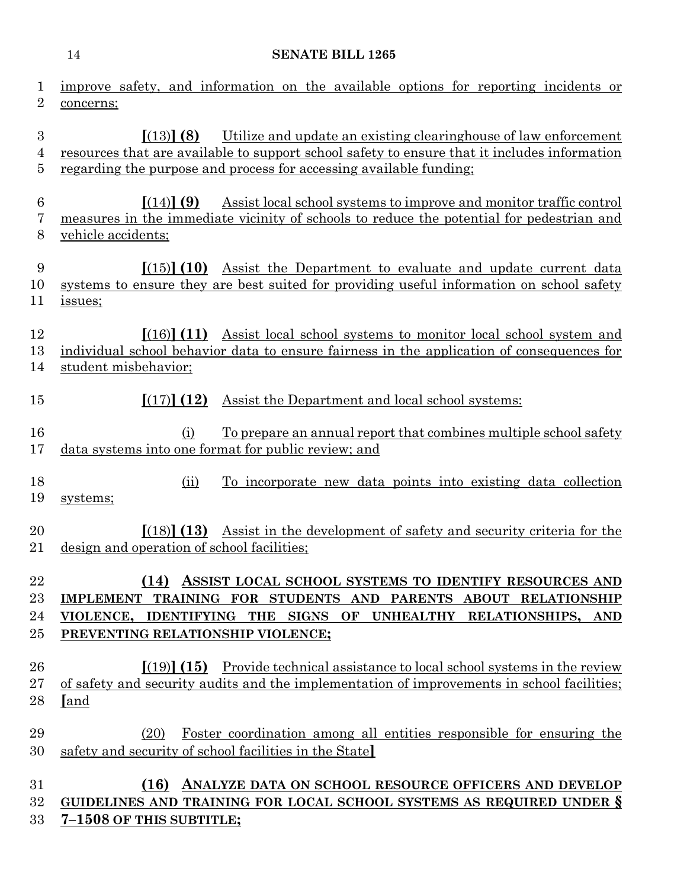|                          | <b>SENATE BILL 1265</b><br>14                                                                                                                                                                                                                       |
|--------------------------|-----------------------------------------------------------------------------------------------------------------------------------------------------------------------------------------------------------------------------------------------------|
| 1<br>$\overline{2}$      | improve safety, and information on the available options for reporting incidents or<br>concerns;                                                                                                                                                    |
| 3<br>4<br>5              | $(13)$ (8)<br>Utilize and update an existing clearinghouse of law enforcement<br>resources that are available to support school safety to ensure that it includes information<br>regarding the purpose and process for accessing available funding; |
| 6<br>7<br>8              | Assist local school systems to improve and monitor traffic control<br>[(14)] (9)<br>measures in the immediate vicinity of schools to reduce the potential for pedestrian and<br>vehicle accidents;                                                  |
| 9<br>10<br>11            | Assist the Department to evaluate and update current data<br>[(15)] (10)<br>systems to ensure they are best suited for providing useful information on school safety<br>issues;                                                                     |
| 12<br>13<br>14           | $\lceil (16) \rceil$ (11) Assist local school systems to monitor local school system and<br>individual school behavior data to ensure fairness in the application of consequences for<br>student misbehavior;                                       |
| 15                       | Assist the Department and local school systems:<br>[(17)] (12)                                                                                                                                                                                      |
| 16<br>17                 | To prepare an annual report that combines multiple school safety<br>(i)<br>data systems into one format for public review; and                                                                                                                      |
| 18<br>19                 | To incorporate new data points into existing data collection<br>(ii)<br>systems;                                                                                                                                                                    |
| 20<br>$21\,$             | $(18)$ $(13)$ Assist in the development of safety and security criteria for the<br>design and operation of school facilities;                                                                                                                       |
| 22<br>$23\,$<br>24<br>25 | ASSIST LOCAL SCHOOL SYSTEMS TO IDENTIFY RESOURCES AND<br>(14)<br>IMPLEMENT TRAINING FOR STUDENTS AND PARENTS ABOUT RELATIONSHIP<br>VIOLENCE, IDENTIFYING THE SIGNS OF UNHEALTHY RELATIONSHIPS, AND<br>PREVENTING RELATIONSHIP VIOLENCE;             |
| 26<br>$27\,$<br>28       | $(19)$ (15) Provide technical assistance to local school systems in the review<br>of safety and security audits and the implementation of improvements in school facilities;<br>[and                                                                |
| 29<br>30                 | <u>Foster coordination among all entities responsible for ensuring the</u><br>(20)<br>safety and security of school facilities in the State                                                                                                         |
| $31\,$<br>$32\,$         | ANALYZE DATA ON SCHOOL RESOURCE OFFICERS AND DEVELOP<br>(16)<br>GUIDELINES AND TRAINING FOR LOCAL SCHOOL SYSTEMS AS REQUIRED UNDER §                                                                                                                |

**7–1508 OF THIS SUBTITLE;**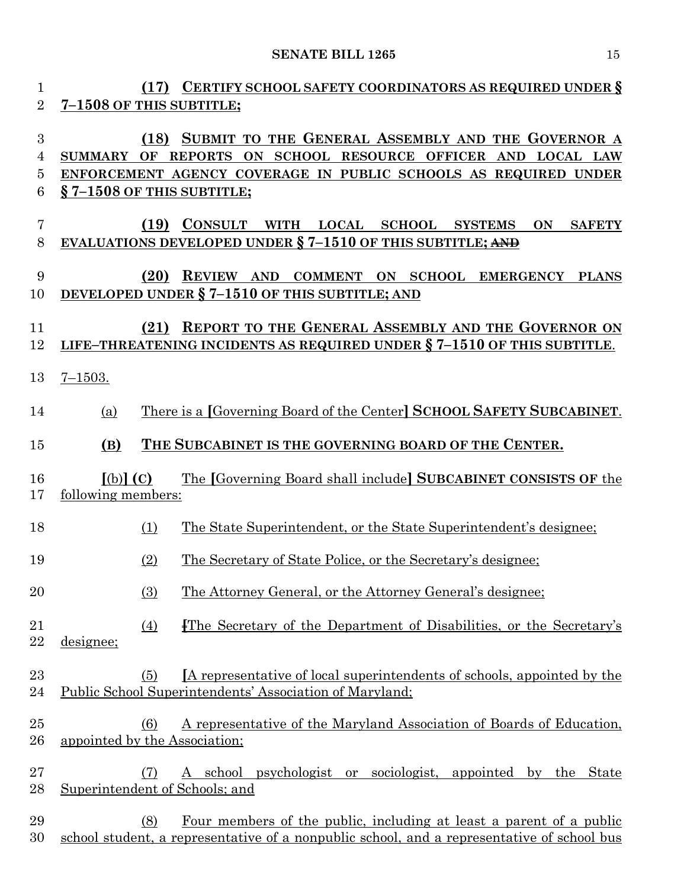| 1<br>$\overline{2}$ | (17) CERTIFY SCHOOL SAFETY COORDINATORS AS REQUIRED UNDER §<br>7-1508 OF THIS SUBTITLE;                                                                                                                                                          |
|---------------------|--------------------------------------------------------------------------------------------------------------------------------------------------------------------------------------------------------------------------------------------------|
| 3<br>4<br>5<br>6    | (18) SUBMIT TO THE GENERAL ASSEMBLY AND THE GOVERNOR A<br>REPORTS ON SCHOOL RESOURCE OFFICER AND<br>OF<br><b>LOCAL LAW</b><br><b>SUMMARY</b><br>ENFORCEMENT AGENCY COVERAGE IN PUBLIC SCHOOLS AS REQUIRED UNDER<br>$\S$ 7-1508 OF THIS SUBTITLE; |
| 7<br>8              | (19)<br><b>CONSULT</b><br>WITH LOCAL<br><b>SCHOOL SYSTEMS</b><br><b>SAFETY</b><br>ON<br><b>EVALUATIONS DEVELOPED UNDER § 7-1510 OF THIS SUBTITLE; AND</b>                                                                                        |
| 9<br>10             | (20)<br>REVIEW AND COMMENT ON SCHOOL EMERGENCY<br><b>PLANS</b><br>DEVELOPED UNDER § 7-1510 OF THIS SUBTITLE; AND                                                                                                                                 |
| 11<br>12            | REPORT TO THE GENERAL ASSEMBLY AND THE GOVERNOR ON<br>(21)<br>LIFE-THREATENING INCIDENTS AS REQUIRED UNDER § 7-1510 OF THIS SUBTITLE.                                                                                                            |
| 13                  | $7 - 1503.$                                                                                                                                                                                                                                      |
| 14                  | There is a [Governing Board of the Center] SCHOOL SAFETY SUBCABINET.<br>(a)                                                                                                                                                                      |
| 15                  | THE SUBCABINET IS THE GOVERNING BOARD OF THE CENTER.<br>(B)                                                                                                                                                                                      |
| 16<br>17            | The [Governing Board shall include] SUBCABINET CONSISTS OF the<br>$[(b)]$ $(C)$<br>following members:                                                                                                                                            |
| 18                  | The State Superintendent, or the State Superintendent's designee;<br>(1)                                                                                                                                                                         |
| 19                  | The Secretary of State Police, or the Secretary's designee;<br>(2)                                                                                                                                                                               |
| $20\,$              | (3)<br><u>The Attorney General, or the Attorney General's designee</u> ;                                                                                                                                                                         |
| 21<br>22            | The Secretary of the Department of Disabilities, or the Secretary's<br>$\left(4\right)$<br>designee;                                                                                                                                             |
| 23<br>24            | <u>IA representative of local superintendents of schools, appointed by the</u><br>(5)<br>Public School Superintendents' Association of Maryland;                                                                                                 |
| 25<br>$26\,$        | A representative of the Maryland Association of Boards of Education,<br>(6)<br>appointed by the Association;                                                                                                                                     |
| $27\,$              | A school psychologist or sociologist, appointed by the State<br>(7)                                                                                                                                                                              |
| 28                  | Superintendent of Schools; and                                                                                                                                                                                                                   |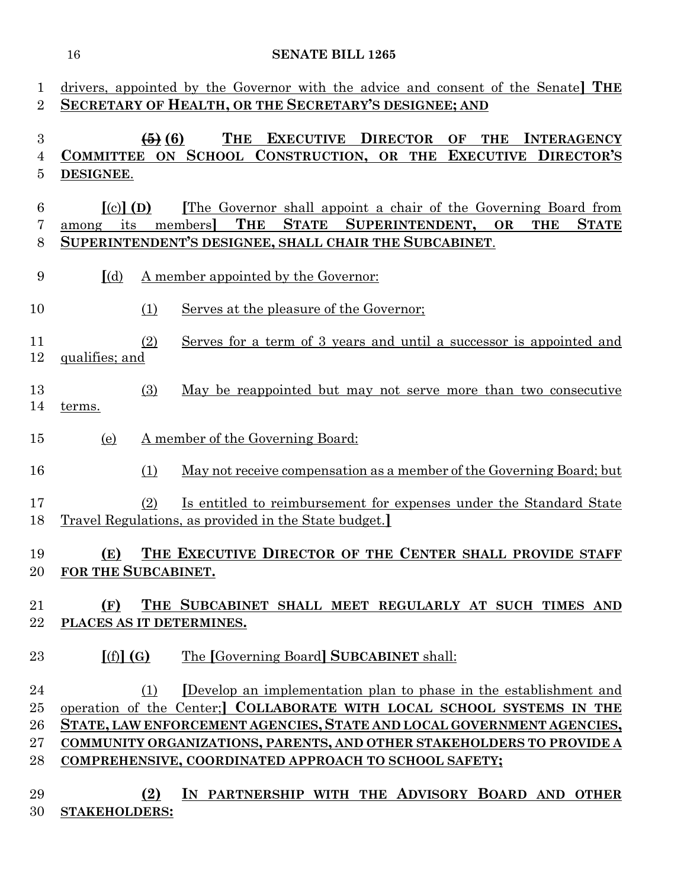| 1<br>$\overline{2}$        |                                           |                        | drivers, appointed by the Governor with the advice and consent of the Senate THE<br>SECRETARY OF HEALTH, OR THE SECRETARY'S DESIGNEE; AND                                                                                                                                                                                                            |
|----------------------------|-------------------------------------------|------------------------|------------------------------------------------------------------------------------------------------------------------------------------------------------------------------------------------------------------------------------------------------------------------------------------------------------------------------------------------------|
| $\boldsymbol{3}$<br>4<br>5 | DESIGNEE.                                 | $\left( 6 \right)$ (6) | <b>EXECUTIVE DIRECTOR</b><br><b>THE</b><br>OF<br><b>THE</b><br><b>INTERAGENCY</b><br>COMMITTEE ON SCHOOL CONSTRUCTION, OR THE EXECUTIVE DIRECTOR'S                                                                                                                                                                                                   |
| $6\phantom{.}6$<br>7<br>8  | $\lceil$ (c) $\rceil$ (D)<br>its<br>among |                        | The Governor shall appoint a chair of the Governing Board from<br><b>STATE</b><br>members<br>THE<br>SUPERINTENDENT,<br><b>OR</b><br><b>THE</b><br><b>STATE</b><br>SUPERINTENDENT'S DESIGNEE, SHALL CHAIR THE SUBCABINET.                                                                                                                             |
| 9                          | $\lceil$ (d)                              |                        | A member appointed by the Governor:                                                                                                                                                                                                                                                                                                                  |
| 10                         |                                           | (1)                    | Serves at the pleasure of the Governor;                                                                                                                                                                                                                                                                                                              |
| 11<br>12                   | qualifies; and                            | (2)                    | Serves for a term of 3 years and until a successor is appointed and                                                                                                                                                                                                                                                                                  |
| 13<br>14                   | terms.                                    | (3)                    | May be reappointed but may not serve more than two consecutive                                                                                                                                                                                                                                                                                       |
| 15                         | (e)                                       |                        | A member of the Governing Board:                                                                                                                                                                                                                                                                                                                     |
| 16                         |                                           | (1)                    | <u>May not receive compensation as a member of the Governing Board; but</u>                                                                                                                                                                                                                                                                          |
| 17<br>18                   |                                           | (2)                    | Is entitled to reimbursement for expenses under the Standard State<br>Travel Regulations, as provided in the State budget.                                                                                                                                                                                                                           |
| 19                         | (E)<br>20 FOR THE SUBCABINET.             |                        | THE EXECUTIVE DIRECTOR OF THE CENTER SHALL PROVIDE STAFF                                                                                                                                                                                                                                                                                             |
| 21<br>22                   | (F)<br>PLACES AS IT DETERMINES.           |                        | THE SUBCABINET SHALL MEET REGULARLY AT SUCH TIMES AND                                                                                                                                                                                                                                                                                                |
| 23                         | [(f)](G)                                  |                        | The [Governing Board] SUBCABINET shall:                                                                                                                                                                                                                                                                                                              |
| 24<br>25<br>26<br>27<br>28 |                                           | (1)                    | Develop an implementation plan to phase in the establishment and<br>operation of the Center; COLLABORATE WITH LOCAL SCHOOL SYSTEMS IN THE<br>STATE, LAW ENFORCEMENT AGENCIES, STATE AND LOCAL GOVERNMENT AGENCIES,<br>COMMUNITY ORGANIZATIONS, PARENTS, AND OTHER STAKEHOLDERS TO PROVIDE A<br>COMPREHENSIVE, COORDINATED APPROACH TO SCHOOL SAFETY; |
| 29<br>30                   | <b>STAKEHOLDERS:</b>                      | (2)                    | IN PARTNERSHIP WITH THE ADVISORY BOARD AND OTHER                                                                                                                                                                                                                                                                                                     |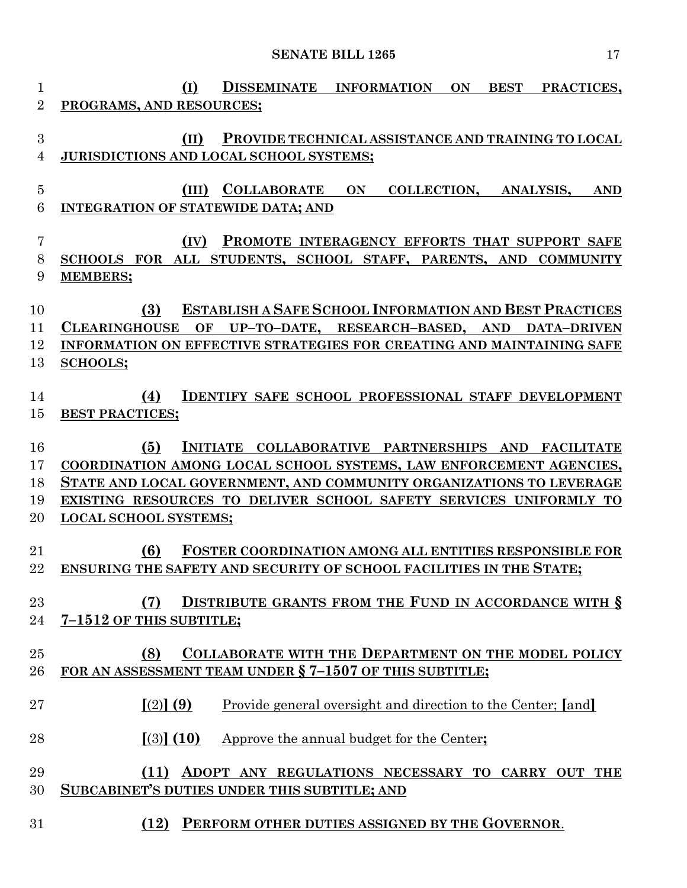| 1              | (I)<br>DISSEMINATE INFORMATION<br>ON<br><b>BEST</b><br>PRACTICES,                           |
|----------------|---------------------------------------------------------------------------------------------|
| $\overline{2}$ | PROGRAMS, AND RESOURCES;                                                                    |
| 3              | PROVIDE TECHNICAL ASSISTANCE AND TRAINING TO LOCAL<br>(II)                                  |
| 4              | JURISDICTIONS AND LOCAL SCHOOL SYSTEMS;                                                     |
|                |                                                                                             |
| 5              | <b>COLLABORATE</b><br><b>COLLECTION,</b><br>(III)<br>ON<br>ANALYSIS,<br><b>AND</b>          |
| 6              | <b>INTEGRATION OF STATEWIDE DATA; AND</b>                                                   |
| 7              | PROMOTE INTERAGENCY EFFORTS THAT SUPPORT SAFE<br>(IV)                                       |
| 8              | SCHOOLS FOR ALL STUDENTS, SCHOOL STAFF, PARENTS, AND<br><b>COMMUNITY</b>                    |
| 9              | <b>MEMBERS;</b>                                                                             |
| 10             | <b>ESTABLISH A SAFE SCHOOL INFORMATION AND BEST PRACTICES</b><br>(3)                        |
| 11             | <b>CLEARINGHOUSE</b><br>OF<br>UP-TO-DATE,<br>RESEARCH-BASED, AND<br><b>DATA-DRIVEN</b>      |
| 12             | INFORMATION ON EFFECTIVE STRATEGIES FOR CREATING AND MAINTAINING SAFE                       |
| 13             | <b>SCHOOLS;</b>                                                                             |
|                |                                                                                             |
| 14<br>15       | <b>IDENTIFY SAFE SCHOOL PROFESSIONAL STAFF DEVELOPMENT</b><br>(4)<br><b>BEST PRACTICES;</b> |
|                |                                                                                             |
| 16             | (5)<br><b>INITIATE</b><br>COLLABORATIVE PARTNERSHIPS AND<br><b>FACILITATE</b>               |
| 17             | COORDINATION AMONG LOCAL SCHOOL SYSTEMS, LAW ENFORCEMENT AGENCIES,                          |
| 18             | STATE AND LOCAL GOVERNMENT, AND COMMUNITY ORGANIZATIONS TO LEVERAGE                         |
| 19             | EXISTING RESOURCES TO DELIVER SCHOOL SAFETY SERVICES UNIFORMLY TO                           |
| 20             | <b>LOCAL SCHOOL SYSTEMS;</b>                                                                |
| 21             | (6)<br><b>FOSTER COORDINATION AMONG ALL ENTITIES RESPONSIBLE FOR</b>                        |
| 22             | ENSURING THE SAFETY AND SECURITY OF SCHOOL FACILITIES IN THE STATE;                         |
|                |                                                                                             |
| 23             | <b>DISTRIBUTE GRANTS FROM THE FUND IN ACCORDANCE WITH §</b><br>(7)                          |
| 24             | 7-1512 OF THIS SUBTITLE;                                                                    |
| 25             | COLLABORATE WITH THE DEPARTMENT ON THE MODEL POLICY<br>(8)                                  |
| 26             | FOR AN ASSESSMENT TEAM UNDER § 7-1507 OF THIS SUBTITLE;                                     |
|                |                                                                                             |
| 27             | $(2)$ (9)<br>Provide general oversight and direction to the Center; [and]                   |
| 28             | $(3)$ (10)<br>Approve the annual budget for the Center;                                     |
| 29             | (11) ADOPT ANY REGULATIONS NECESSARY TO CARRY OUT THE                                       |
| 30             | <b>SUBCABINET'S DUTIES UNDER THIS SUBTITLE; AND</b>                                         |
|                |                                                                                             |
| 31             | (12) PERFORM OTHER DUTIES ASSIGNED BY THE GOVERNOR.                                         |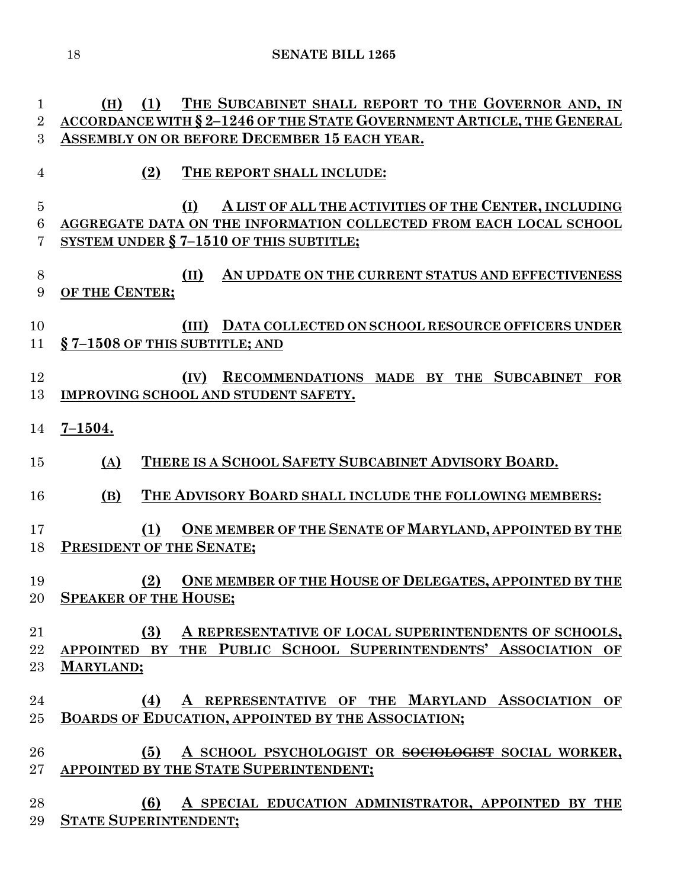**(H) (1) THE SUBCABINET SHALL REPORT TO THE GOVERNOR AND, IN ACCORDANCE WITH § 2–1246 OF THE STATE GOVERNMENT ARTICLE, THE GENERAL** 

 **ASSEMBLY ON OR BEFORE DECEMBER 15 EACH YEAR. (2) THE REPORT SHALL INCLUDE: (I) A LIST OF ALL THE ACTIVITIES OF THE CENTER, INCLUDING AGGREGATE DATA ON THE INFORMATION COLLECTED FROM EACH LOCAL SCHOOL SYSTEM UNDER § 7–1510 OF THIS SUBTITLE; (II) AN UPDATE ON THE CURRENT STATUS AND EFFECTIVENESS OF THE CENTER; (III) DATA COLLECTED ON SCHOOL RESOURCE OFFICERS UNDER § 7–1508 OF THIS SUBTITLE; AND (IV) RECOMMENDATIONS MADE BY THE SUBCABINET FOR IMPROVING SCHOOL AND STUDENT SAFETY. 7–1504. (A) THERE IS A SCHOOL SAFETY SUBCABINET ADVISORY BOARD. (B) THE ADVISORY BOARD SHALL INCLUDE THE FOLLOWING MEMBERS: (1) ONE MEMBER OF THE SENATE OF MARYLAND, APPOINTED BY THE PRESIDENT OF THE SENATE; (2) ONE MEMBER OF THE HOUSE OF DELEGATES, APPOINTED BY THE SPEAKER OF THE HOUSE; (3) A REPRESENTATIVE OF LOCAL SUPERINTENDENTS OF SCHOOLS, APPOINTED BY THE PUBLIC SCHOOL SUPERINTENDENTS' ASSOCIATION OF MARYLAND;**

 **(4) A REPRESENTATIVE OF THE MARYLAND ASSOCIATION OF BOARDS OF EDUCATION, APPOINTED BY THE ASSOCIATION;**

 **(5) A SCHOOL PSYCHOLOGIST OR SOCIOLOGIST SOCIAL WORKER, APPOINTED BY THE STATE SUPERINTENDENT;**

 **(6) A SPECIAL EDUCATION ADMINISTRATOR, APPOINTED BY THE STATE SUPERINTENDENT;**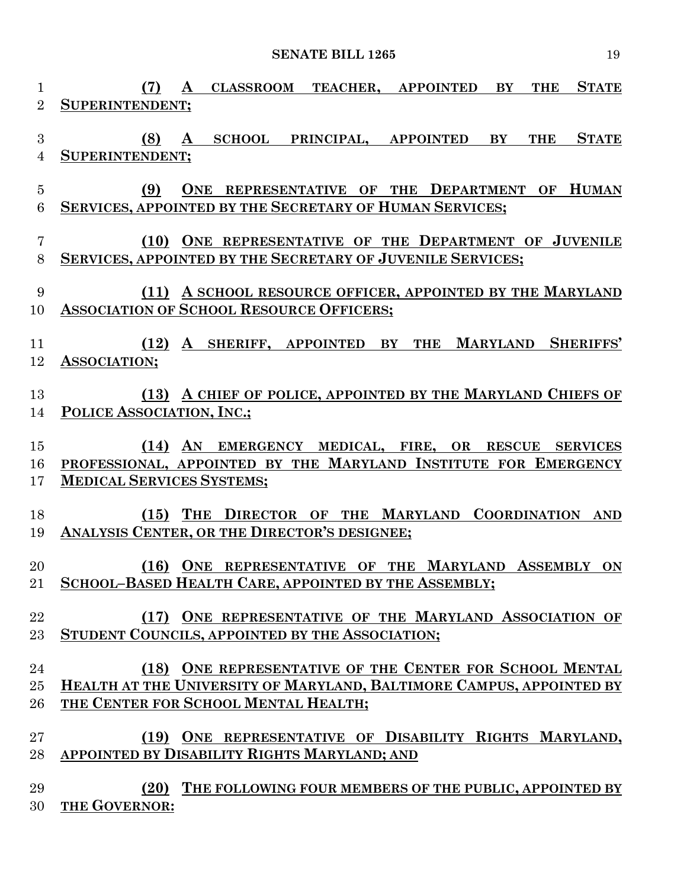| $\mathbf{1}$<br>$\overline{2}$     | <b>STATE</b><br>(7)<br>$\mathbf{A}$<br><b>CLASSROOM TEACHER, APPOINTED</b><br>BY<br><b>THE</b><br><b>SUPERINTENDENT:</b> |
|------------------------------------|--------------------------------------------------------------------------------------------------------------------------|
| 3<br>$\overline{4}$                | A SCHOOL PRINCIPAL, APPOINTED<br><b>STATE</b><br>(8)<br>BY<br><b>THE</b><br>SUPERINTENDENT;                              |
| $\overline{5}$<br>$\boldsymbol{6}$ | ONE REPRESENTATIVE OF THE DEPARTMENT OF HUMAN<br>(9)<br>SERVICES, APPOINTED BY THE SECRETARY OF HUMAN SERVICES;          |
| $\overline{7}$                     | (10) ONE REPRESENTATIVE OF THE DEPARTMENT OF JUVENILE                                                                    |
| 8                                  | SERVICES, APPOINTED BY THE SECRETARY OF JUVENILE SERVICES;                                                               |
| 9                                  | (11) A SCHOOL RESOURCE OFFICER, APPOINTED BY THE MARYLAND                                                                |
| 10                                 | <b>ASSOCIATION OF SCHOOL RESOURCE OFFICERS;</b>                                                                          |
| 11                                 | (12) A SHERIFF, APPOINTED BY THE MARYLAND SHERIFFS'                                                                      |
| 12                                 | ASSOCIATION;                                                                                                             |
| 13                                 | (13) A CHIEF OF POLICE, APPOINTED BY THE MARYLAND CHIEFS OF                                                              |
| 14                                 | POLICE ASSOCIATION, INC.;                                                                                                |
| 15                                 | (14) AN EMERGENCY MEDICAL, FIRE, OR RESCUE SERVICES                                                                      |
| 16                                 | PROFESSIONAL, APPOINTED BY THE MARYLAND INSTITUTE FOR EMERGENCY                                                          |
| 17                                 | <b>MEDICAL SERVICES SYSTEMS;</b>                                                                                         |
| 18                                 | (15) THE DIRECTOR OF THE MARYLAND COORDINATION AND                                                                       |
| 19                                 | ANALYSIS CENTER, OR THE DIRECTOR'S DESIGNEE;                                                                             |
| 20<br>21                           | (16) ONE REPRESENTATIVE OF THE MARYLAND ASSEMBLY<br>ON<br><b>SCHOOL-BASED HEALTH CARE, APPOINTED BY THE ASSEMBLY;</b>    |
| 22                                 | (17) ONE REPRESENTATIVE OF THE MARYLAND ASSOCIATION OF                                                                   |
| 23                                 | STUDENT COUNCILS, APPOINTED BY THE ASSOCIATION;                                                                          |
| 24                                 | (18) ONE REPRESENTATIVE OF THE CENTER FOR SCHOOL MENTAL                                                                  |
| 25                                 | HEALTH AT THE UNIVERSITY OF MARYLAND, BALTIMORE CAMPUS, APPOINTED BY                                                     |
| 26                                 | THE CENTER FOR SCHOOL MENTAL HEALTH;                                                                                     |
| 27                                 | (19) ONE REPRESENTATIVE OF DISABILITY RIGHTS MARYLAND,                                                                   |
| 28                                 | APPOINTED BY DISABILITY RIGHTS MARYLAND; AND                                                                             |
| 29                                 | (20) THE FOLLOWING FOUR MEMBERS OF THE PUBLIC, APPOINTED BY                                                              |
| 30                                 | THE GOVERNOR:                                                                                                            |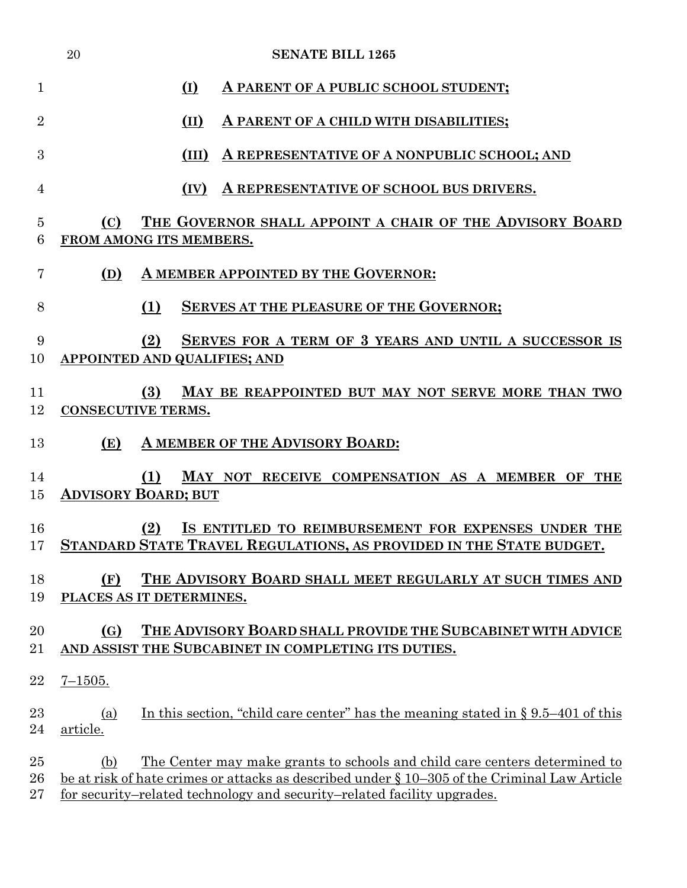|                        | 20              | <b>SENATE BILL 1265</b>                                                                                                                                                                                                                                      |
|------------------------|-----------------|--------------------------------------------------------------------------------------------------------------------------------------------------------------------------------------------------------------------------------------------------------------|
| $\mathbf{1}$           |                 | (I)<br>A PARENT OF A PUBLIC SCHOOL STUDENT;                                                                                                                                                                                                                  |
| $\overline{2}$         |                 | (II)<br>A PARENT OF A CHILD WITH DISABILITIES;                                                                                                                                                                                                               |
| 3                      |                 | A REPRESENTATIVE OF A NONPUBLIC SCHOOL; AND<br>(III)                                                                                                                                                                                                         |
| $\overline{4}$         |                 | A REPRESENTATIVE OF SCHOOL BUS DRIVERS.<br>(IV)                                                                                                                                                                                                              |
| $\overline{5}$<br>6    | (C)             | THE GOVERNOR SHALL APPOINT A CHAIR OF THE ADVISORY BOARD<br>FROM AMONG ITS MEMBERS.                                                                                                                                                                          |
| 7                      | (D)             | A MEMBER APPOINTED BY THE GOVERNOR:                                                                                                                                                                                                                          |
| 8                      |                 | (1)<br><b>SERVES AT THE PLEASURE OF THE GOVERNOR:</b>                                                                                                                                                                                                        |
| 9<br>10                |                 | (2)<br>SERVES FOR A TERM OF 3 YEARS AND UNTIL A SUCCESSOR IS<br><b>APPOINTED AND QUALIFIES; AND</b>                                                                                                                                                          |
| 11<br>12               |                 | (3)<br>MAY BE REAPPOINTED BUT MAY NOT SERVE MORE THAN TWO<br><b>CONSECUTIVE TERMS.</b>                                                                                                                                                                       |
| 13                     | (E)             | A MEMBER OF THE ADVISORY BOARD:                                                                                                                                                                                                                              |
| 14<br>15               |                 | MAY NOT RECEIVE COMPENSATION AS A MEMBER OF THE<br>(1)<br><b>ADVISORY BOARD; BUT</b>                                                                                                                                                                         |
| 16<br>17               |                 | IS ENTITLED TO REIMBURSEMENT FOR EXPENSES UNDER THE<br>(2)<br>STANDARD STATE TRAVEL REGULATIONS, AS PROVIDED IN THE STATE BUDGET.                                                                                                                            |
| 18<br>19               | (F)             | THE ADVISORY BOARD SHALL MEET REGULARLY AT SUCH TIMES AND<br>PLACES AS IT DETERMINES.                                                                                                                                                                        |
| 20<br>21               | (G)             | THE ADVISORY BOARD SHALL PROVIDE THE SUBCABINET WITH ADVICE<br>AND ASSIST THE SUBCABINET IN COMPLETING ITS DUTIES.                                                                                                                                           |
| 22                     | $7 - 1505.$     |                                                                                                                                                                                                                                                              |
| 23<br>24               | (a)<br>article. | In this section, "child care center" has the meaning stated in $\S 9.5-401$ of this                                                                                                                                                                          |
| 25<br>$26\,$<br>$27\,$ | (b)             | <u>The Center may make grants to schools and child care centers determined to</u><br>be at risk of hate crimes or attacks as described under § 10–305 of the Criminal Law Article<br>for security-related technology and security-related facility upgrades. |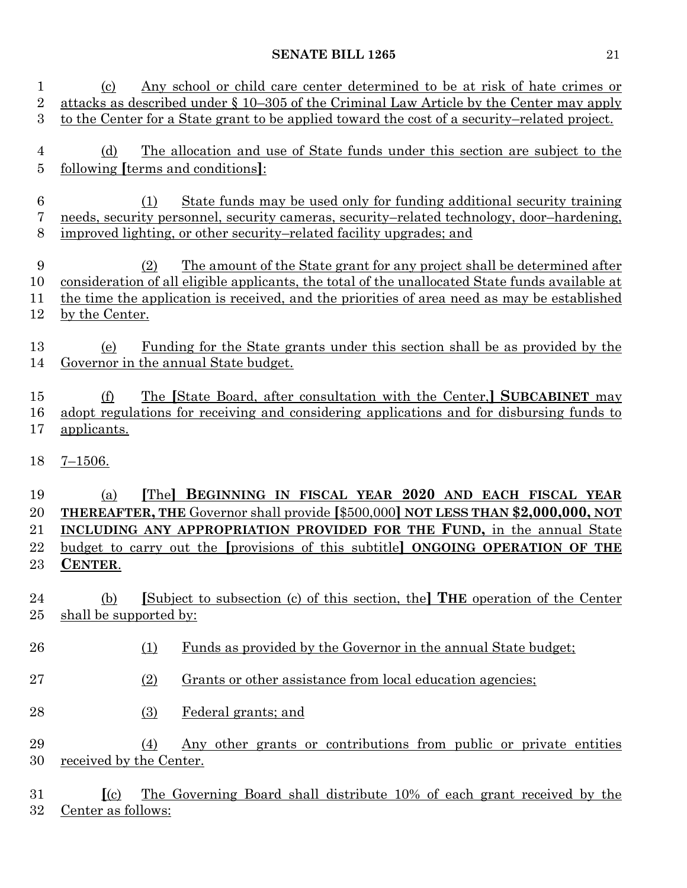| 1<br>$\overline{2}$<br>3   | Any school or child care center determined to be at risk of hate crimes or<br>(c)<br>attacks as described under $\S$ 10–305 of the Criminal Law Article by the Center may apply<br>to the Center for a State grant to be applied toward the cost of a security-related project.                                                              |
|----------------------------|----------------------------------------------------------------------------------------------------------------------------------------------------------------------------------------------------------------------------------------------------------------------------------------------------------------------------------------------|
| 4<br>$\overline{5}$        | The allocation and use of State funds under this section are subject to the<br>(d)<br>following <i>[terms and conditions]</i> :                                                                                                                                                                                                              |
| $\boldsymbol{6}$<br>7<br>8 | State funds may be used only for funding additional security training<br>(1)<br>needs, security personnel, security cameras, security–related technology, door–hardening,<br>improved lighting, or other security–related facility upgrades; and                                                                                             |
| 9<br>10<br>11<br>12        | <u>The amount of the State grant for any project shall be determined after</u><br>(2)<br>consideration of all eligible applicants, the total of the unallocated State funds available at<br>the time the application is received, and the priorities of area need as may be established<br>by the Center.                                    |
| 13<br>14                   | Funding for the State grants under this section shall be as provided by the<br>(e)<br>Governor in the annual State budget.                                                                                                                                                                                                                   |
| 15<br>16<br>17             | The [State Board, after consultation with the Center,] SUBCABINET may<br>(f)<br>adopt regulations for receiving and considering applications and for disbursing funds to<br>applicants.                                                                                                                                                      |
| 18                         | $7 - 1506.$                                                                                                                                                                                                                                                                                                                                  |
|                            |                                                                                                                                                                                                                                                                                                                                              |
| 19<br>20<br>21<br>22<br>23 | BEGINNING IN FISCAL YEAR 2020 AND EACH FISCAL YEAR<br>[The]<br>(a)<br><b>THEREAFTER, THE Governor shall provide [\$500,000] NOT LESS THAN \$2,000,000, NOT</b><br><b>INCLUDING ANY APPROPRIATION PROVIDED FOR THE FUND, in the annual State</b><br>budget to carry out the [provisions of this subtitle] ONGOING OPERATION OF THE<br>CENTER. |
| 24<br>25                   | [Subject to subsection (c) of this section, the <b>THE</b> operation of the Center<br>(b)<br>shall be supported by:                                                                                                                                                                                                                          |
| 26                         | Funds as provided by the Governor in the annual State budget;<br>(1)                                                                                                                                                                                                                                                                         |
| 27                         | Grants or other assistance from local education agencies;<br>(2)                                                                                                                                                                                                                                                                             |
| 28                         | (3)<br>Federal grants; and                                                                                                                                                                                                                                                                                                                   |
| 29<br>30                   | Any other grants or contributions from public or private entities<br>(4)<br>received by the Center.                                                                                                                                                                                                                                          |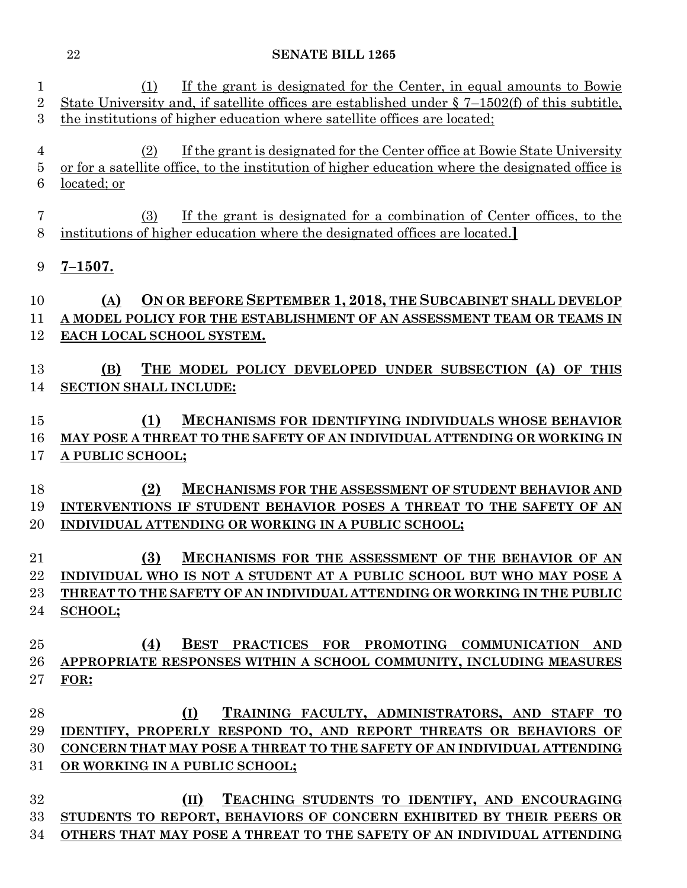| 1<br>$\overline{2}$ | If the grant is designated for the Center, in equal amounts to Bowie<br>(1)<br>State University and, if satellite offices are established under $\S 7-1502(f)$ of this subtitle, |
|---------------------|----------------------------------------------------------------------------------------------------------------------------------------------------------------------------------|
| 3                   | the institutions of higher education where satellite offices are located;                                                                                                        |
|                     |                                                                                                                                                                                  |
| $\overline{4}$      | If the grant is designated for the Center office at Bowie State University<br>(2)                                                                                                |
| 5<br>6              | or for a satellite office, to the institution of higher education where the designated office is<br>located; or                                                                  |
|                     |                                                                                                                                                                                  |
| 7                   | If the grant is designated for a combination of Center offices, to the<br>(3)                                                                                                    |
| 8                   | institutions of higher education where the designated offices are located.                                                                                                       |
|                     |                                                                                                                                                                                  |
| 9                   | $7 - 1507.$                                                                                                                                                                      |
| 10                  | ON OR BEFORE SEPTEMBER 1, 2018, THE SUBCABINET SHALL DEVELOP<br>(A)                                                                                                              |
| 11                  | A MODEL POLICY FOR THE ESTABLISHMENT OF AN ASSESSMENT TEAM OR TEAMS IN                                                                                                           |
| 12                  | EACH LOCAL SCHOOL SYSTEM.                                                                                                                                                        |
|                     |                                                                                                                                                                                  |
| 13                  | THE MODEL POLICY DEVELOPED UNDER SUBSECTION (A) OF THIS<br>(B)                                                                                                                   |
| 14                  | <b>SECTION SHALL INCLUDE:</b>                                                                                                                                                    |
| 15                  | (1)<br>MECHANISMS FOR IDENTIFYING INDIVIDUALS WHOSE BEHAVIOR                                                                                                                     |
| 16                  | MAY POSE A THREAT TO THE SAFETY OF AN INDIVIDUAL ATTENDING OR WORKING IN                                                                                                         |
| 17                  | A PUBLIC SCHOOL;                                                                                                                                                                 |
|                     |                                                                                                                                                                                  |
| 18                  | MECHANISMS FOR THE ASSESSMENT OF STUDENT BEHAVIOR AND<br>(2)                                                                                                                     |
| 19                  | INTERVENTIONS IF STUDENT BEHAVIOR POSES A THREAT TO THE SAFETY OF AN                                                                                                             |
| 20                  | INDIVIDUAL ATTENDING OR WORKING IN A PUBLIC SCHOOL;                                                                                                                              |
| 21                  | MECHANISMS FOR THE ASSESSMENT OF THE BEHAVIOR OF AN<br>(3)                                                                                                                       |
| 22                  | INDIVIDUAL WHO IS NOT A STUDENT AT A PUBLIC SCHOOL BUT WHO MAY POSE A                                                                                                            |
| 23                  | THREAT TO THE SAFETY OF AN INDIVIDUAL ATTENDING OR WORKING IN THE PUBLIC                                                                                                         |
| 24                  | <b>SCHOOL;</b>                                                                                                                                                                   |
|                     |                                                                                                                                                                                  |
| 25                  | BEST PRACTICES FOR PROMOTING COMMUNICATION AND<br>(4)                                                                                                                            |
| 26                  | APPROPRIATE RESPONSES WITHIN A SCHOOL COMMUNITY, INCLUDING MEASURES                                                                                                              |
| 27                  | FOR:                                                                                                                                                                             |
| 28                  | TRAINING FACULTY, ADMINISTRATORS, AND STAFF TO<br>(I)                                                                                                                            |
| 29                  | IDENTIFY, PROPERLY RESPOND TO, AND REPORT THREATS OR BEHAVIORS OF                                                                                                                |
| 30                  | CONCERN THAT MAY POSE A THREAT TO THE SAFETY OF AN INDIVIDUAL ATTENDING                                                                                                          |
| 31                  | OR WORKING IN A PUBLIC SCHOOL;                                                                                                                                                   |
|                     |                                                                                                                                                                                  |
| 32                  | (II)<br>TEACHING STUDENTS TO IDENTIFY, AND ENCOURAGING                                                                                                                           |
| 33                  | STUDENTS TO REPORT, BEHAVIORS OF CONCERN EXHIBITED BY THEIR PEERS OR                                                                                                             |
| 34                  | OTHERS THAT MAY POSE A THREAT TO THE SAFETY OF AN INDIVIDUAL ATTENDING                                                                                                           |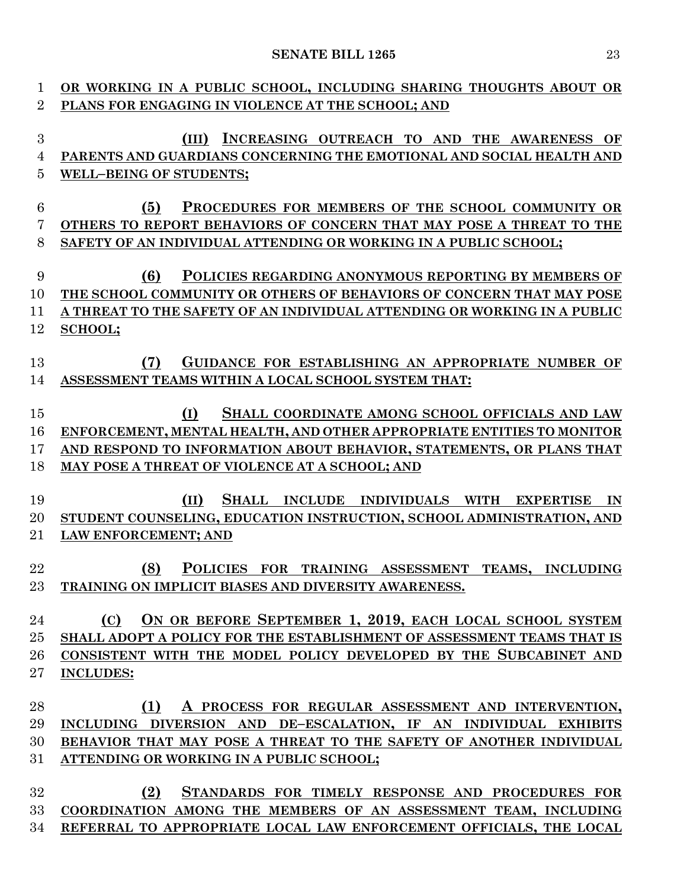| 1               | OR WORKING IN A PUBLIC SCHOOL, INCLUDING SHARING THOUGHTS ABOUT OR                          |
|-----------------|---------------------------------------------------------------------------------------------|
| $\overline{2}$  | PLANS FOR ENGAGING IN VIOLENCE AT THE SCHOOL; AND                                           |
|                 |                                                                                             |
| 3               | INCREASING OUTREACH TO AND THE AWARENESS OF<br>(III)                                        |
| 4               | PARENTS AND GUARDIANS CONCERNING THE EMOTIONAL AND SOCIAL HEALTH AND                        |
| $\overline{5}$  | <b>WELL-BEING OF STUDENTS;</b>                                                              |
|                 |                                                                                             |
| $6\phantom{.}6$ | (5)<br>PROCEDURES FOR MEMBERS OF THE SCHOOL COMMUNITY OR                                    |
| 7               | OTHERS TO REPORT BEHAVIORS OF CONCERN THAT MAY POSE A THREAT TO THE                         |
| 8               | SAFETY OF AN INDIVIDUAL ATTENDING OR WORKING IN A PUBLIC SCHOOL;                            |
|                 |                                                                                             |
| 9               | (6)<br>POLICIES REGARDING ANONYMOUS REPORTING BY MEMBERS OF                                 |
| 10              | THE SCHOOL COMMUNITY OR OTHERS OF BEHAVIORS OF CONCERN THAT MAY POSE                        |
| 11              | A THREAT TO THE SAFETY OF AN INDIVIDUAL ATTENDING OR WORKING IN A PUBLIC                    |
| 12              | <b>SCHOOL;</b>                                                                              |
|                 |                                                                                             |
| 13              | GUIDANCE FOR ESTABLISHING AN APPROPRIATE NUMBER OF<br>(7)                                   |
| 14              | ASSESSMENT TEAMS WITHIN A LOCAL SCHOOL SYSTEM THAT:                                         |
|                 |                                                                                             |
| 15              | SHALL COORDINATE AMONG SCHOOL OFFICIALS AND LAW<br>(I)                                      |
|                 |                                                                                             |
| 16              | ENFORCEMENT, MENTAL HEALTH, AND OTHER APPROPRIATE ENTITIES TO MONITOR                       |
| 17              | AND RESPOND TO INFORMATION ABOUT BEHAVIOR, STATEMENTS, OR PLANS THAT                        |
| 18              | MAY POSE A THREAT OF VIOLENCE AT A SCHOOL; AND                                              |
|                 |                                                                                             |
| 19              | <b>SHALL</b><br><b>INCLUDE INDIVIDUALS</b><br><b>WITH</b><br>(II)<br><b>EXPERTISE</b><br>IN |
| 20              | STUDENT COUNSELING, EDUCATION INSTRUCTION, SCHOOL ADMINISTRATION, AND                       |
| 21              | <b>LAW ENFORCEMENT; AND</b>                                                                 |
|                 |                                                                                             |
| 22              | (8)<br>POLICIES FOR TRAINING ASSESSMENT TEAMS, INCLUDING                                    |
| 23              | TRAINING ON IMPLICIT BIASES AND DIVERSITY AWARENESS.                                        |
|                 |                                                                                             |
| 24              | ON OR BEFORE SEPTEMBER 1, 2019, EACH LOCAL SCHOOL SYSTEM<br>(C)                             |
| 25              | SHALL ADOPT A POLICY FOR THE ESTABLISHMENT OF ASSESSMENT TEAMS THAT IS                      |
| 26              | CONSISTENT WITH THE MODEL POLICY DEVELOPED BY THE SUBCABINET AND                            |
| $27\,$          | <b>INCLUDES:</b>                                                                            |
|                 |                                                                                             |
| 28              | (1)<br>A PROCESS FOR REGULAR ASSESSMENT AND INTERVENTION,                                   |
| 29              | INCLUDING DIVERSION AND DE-ESCALATION, IF AN INDIVIDUAL EXHIBITS                            |
| 30              | BEHAVIOR THAT MAY POSE A THREAT TO THE SAFETY OF ANOTHER INDIVIDUAL                         |
| 31              | ATTENDING OR WORKING IN A PUBLIC SCHOOL;                                                    |
|                 |                                                                                             |
| 32              | (2)<br>STANDARDS FOR TIMELY RESPONSE AND PROCEDURES FOR                                     |
| 33              | COORDINATION AMONG THE MEMBERS OF AN ASSESSMENT TEAM, INCLUDING                             |
| 34              | REFERRAL TO APPROPRIATE LOCAL LAW ENFORCEMENT OFFICIALS, THE LOCAL                          |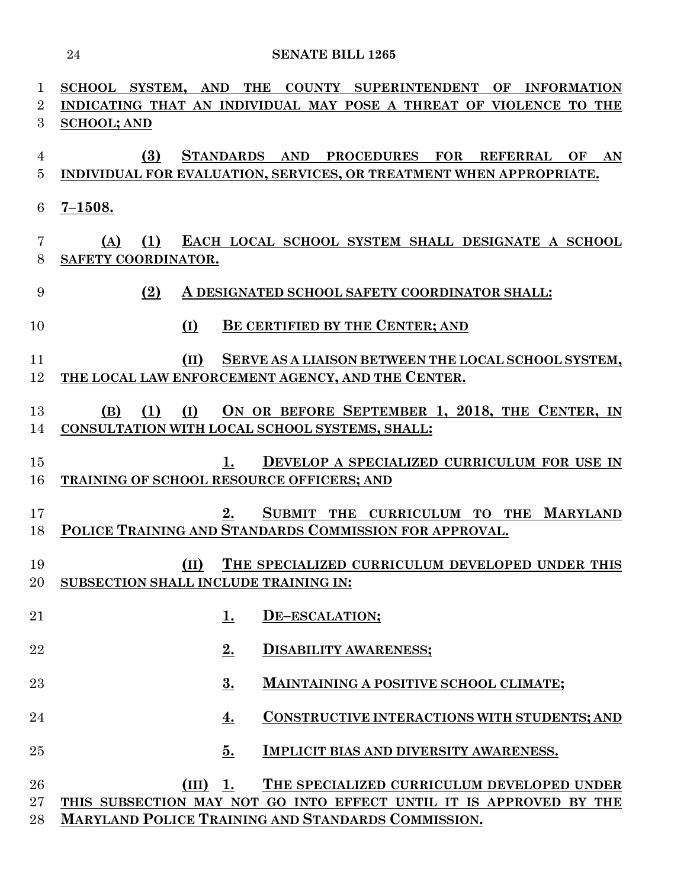| 1                   | SCHOOL SYSTEM, AND THE COUNTY SUPERINTENDENT OF INFORMATION         |  |  |
|---------------------|---------------------------------------------------------------------|--|--|
| 2                   | INDICATING THAT AN INDIVIDUAL MAY POSE A THREAT OF VIOLENCE TO THE  |  |  |
| 3                   | <b>SCHOOL; AND</b>                                                  |  |  |
|                     | (3)<br>STANDARDS AND PROCEDURES FOR REFERRAL OF AN                  |  |  |
| 4<br>$\overline{5}$ | INDIVIDUAL FOR EVALUATION, SERVICES, OR TREATMENT WHEN APPROPRIATE. |  |  |
|                     |                                                                     |  |  |
| 6                   | $7 - 1508.$                                                         |  |  |
|                     |                                                                     |  |  |
| 7                   | EACH LOCAL SCHOOL SYSTEM SHALL DESIGNATE A SCHOOL<br>(1)<br>(A)     |  |  |
| 8                   | SAFETY COORDINATOR.                                                 |  |  |
|                     |                                                                     |  |  |
| 9                   | (2)<br>A DESIGNATED SCHOOL SAFETY COORDINATOR SHALL:                |  |  |
| 10                  | BE CERTIFIED BY THE CENTER; AND                                     |  |  |
|                     | (I)                                                                 |  |  |
| 11                  | (II)<br>SERVE AS A LIAISON BETWEEN THE LOCAL SCHOOL SYSTEM,         |  |  |
| 12                  | THE LOCAL LAW ENFORCEMENT AGENCY, AND THE CENTER.                   |  |  |
|                     |                                                                     |  |  |
| 13                  | ON OR BEFORE SEPTEMBER 1, 2018, THE CENTER, IN<br>(I)<br>(1)<br>(B) |  |  |
| 14                  | CONSULTATION WITH LOCAL SCHOOL SYSTEMS, SHALL:                      |  |  |
|                     |                                                                     |  |  |
| 15                  | DEVELOP A SPECIALIZED CURRICULUM FOR USE IN<br>1.                   |  |  |
| 16                  | TRAINING OF SCHOOL RESOURCE OFFICERS; AND                           |  |  |
| 17                  | $2_{\cdot}$<br>SUBMIT THE CURRICULUM TO THE<br><b>MARYLAND</b>      |  |  |
| 18                  | POLICE TRAINING AND STANDARDS COMMISSION FOR APPROVAL.              |  |  |
|                     |                                                                     |  |  |
| 19                  | THE SPECIALIZED CURRICULUM DEVELOPED UNDER THIS<br>(II)             |  |  |
|                     | 20 SUBSECTION SHALL INCLUDE TRAINING IN:                            |  |  |
|                     |                                                                     |  |  |
| 21                  | 1.<br>DE-ESCALATION;                                                |  |  |
|                     |                                                                     |  |  |
| 22                  | 2.<br><b>DISABILITY AWARENESS;</b>                                  |  |  |
| 23                  | 3.<br>MAINTAINING A POSITIVE SCHOOL CLIMATE;                        |  |  |
|                     |                                                                     |  |  |
| 24                  | <b>CONSTRUCTIVE INTERACTIONS WITH STUDENTS; AND</b><br><u>4.</u>    |  |  |
|                     |                                                                     |  |  |
| 25                  | 5.<br>IMPLICIT BIAS AND DIVERSITY AWARENESS.                        |  |  |
|                     |                                                                     |  |  |
| 26                  | $(III)$ 1.<br>THE SPECIALIZED CURRICULUM DEVELOPED UNDER            |  |  |
| $27\,$              | THIS SUBSECTION MAY NOT GO INTO EFFECT UNTIL IT IS APPROVED BY THE  |  |  |
| 28                  | MARYLAND POLICE TRAINING AND STANDARDS COMMISSION.                  |  |  |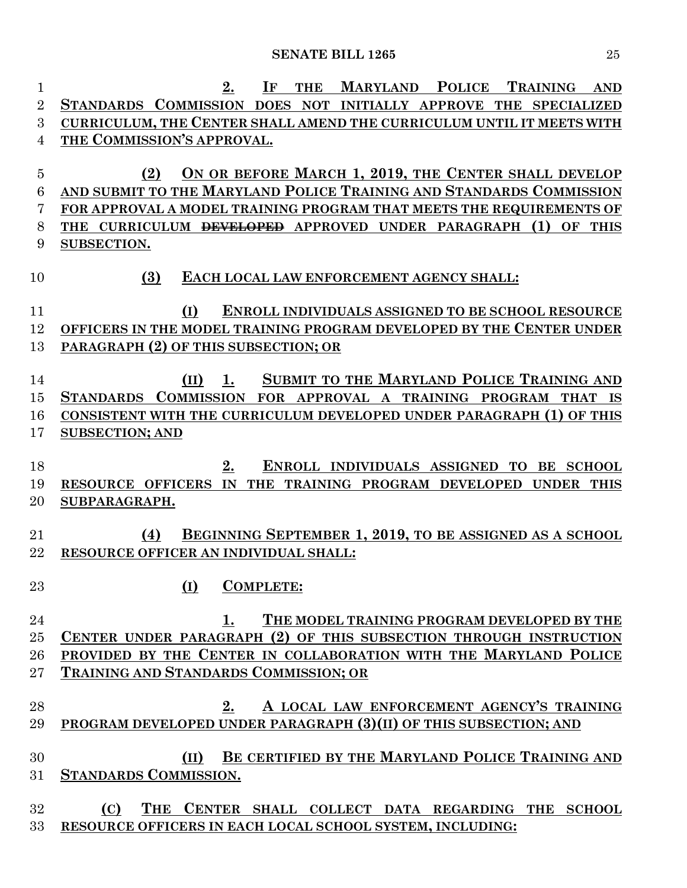| $\mathbf 1$    | <b>MARYLAND</b><br><b>POLICE</b><br><b>TRAINING</b><br>2.<br>$\bf I$ F<br><b>THE</b><br><b>AND</b> |
|----------------|----------------------------------------------------------------------------------------------------|
| $\overline{2}$ | STANDARDS COMMISSION DOES NOT INITIALLY APPROVE THE SPECIALIZED                                    |
| 3              | CURRICULUM, THE CENTER SHALL AMEND THE CURRICULUM UNTIL IT MEETS WITH                              |
| 4              | THE COMMISSION'S APPROVAL.                                                                         |
|                |                                                                                                    |
| $\overline{5}$ | ON OR BEFORE MARCH 1, 2019, THE CENTER SHALL DEVELOP<br>(2)                                        |
| 6              | AND SUBMIT TO THE MARYLAND POLICE TRAINING AND STANDARDS COMMISSION                                |
| 7              | FOR APPROVAL A MODEL TRAINING PROGRAM THAT MEETS THE REQUIREMENTS OF                               |
| 8              | THE CURRICULUM <del>DEVELOPED</del> APPROVED UNDER PARAGRAPH (1) OF<br><b>THIS</b>                 |
| 9              | SUBSECTION.                                                                                        |
|                |                                                                                                    |
| 10             | EACH LOCAL LAW ENFORCEMENT AGENCY SHALL:<br>(3)                                                    |
| 11             | ENROLL INDIVIDUALS ASSIGNED TO BE SCHOOL RESOURCE<br>(I)                                           |
| 12             | OFFICERS IN THE MODEL TRAINING PROGRAM DEVELOPED BY THE CENTER UNDER                               |
| 13             | PARAGRAPH (2) OF THIS SUBSECTION; OR                                                               |
|                |                                                                                                    |
| 14             | SUBMIT TO THE MARYLAND POLICE TRAINING AND<br>(II)<br>1.                                           |
| 15             | STANDARDS COMMISSION<br>FOR APPROVAL A TRAINING PROGRAM THAT IS                                    |
| 16             | CONSISTENT WITH THE CURRICULUM DEVELOPED UNDER PARAGRAPH (1) OF THIS                               |
| 17             | <b>SUBSECTION; AND</b>                                                                             |
|                |                                                                                                    |
| 18             | ENROLL INDIVIDUALS ASSIGNED TO BE SCHOOL<br>2.                                                     |
| 19             | RESOURCE OFFICERS IN THE TRAINING PROGRAM DEVELOPED<br><b>UNDER</b><br><b>THIS</b>                 |
| 20             | SUBPARAGRAPH.                                                                                      |
|                |                                                                                                    |
| 21             | BEGINNING SEPTEMBER 1, 2019, TO BE ASSIGNED AS A SCHOOL<br>(4)                                     |
| 22             | RESOURCE OFFICER AN INDIVIDUAL SHALL:                                                              |
|                | (I) COMPLETE:                                                                                      |
| 23             |                                                                                                    |
| 24             | THE MODEL TRAINING PROGRAM DEVELOPED BY THE<br>1.                                                  |
| 25             | CENTER UNDER PARAGRAPH (2) OF THIS SUBSECTION THROUGH INSTRUCTION                                  |
| 26             | PROVIDED BY THE CENTER IN COLLABORATION WITH THE MARYLAND POLICE                                   |
| 27             | TRAINING AND STANDARDS COMMISSION; OR                                                              |
|                |                                                                                                    |
| 28             | $2_{\cdot}$<br>A LOCAL LAW ENFORCEMENT AGENCY'S TRAINING                                           |
| 29             | PROGRAM DEVELOPED UNDER PARAGRAPH (3)(II) OF THIS SUBSECTION; AND                                  |
|                |                                                                                                    |
| 30             | BE CERTIFIED BY THE MARYLAND POLICE TRAINING AND<br>(II)                                           |
| 31             | <b>STANDARDS COMMISSION.</b>                                                                       |
|                |                                                                                                    |
| 32             | THE CENTER SHALL COLLECT DATA REGARDING THE SCHOOL<br>(C)                                          |
| 33             | RESOURCE OFFICERS IN EACH LOCAL SCHOOL SYSTEM, INCLUDING:                                          |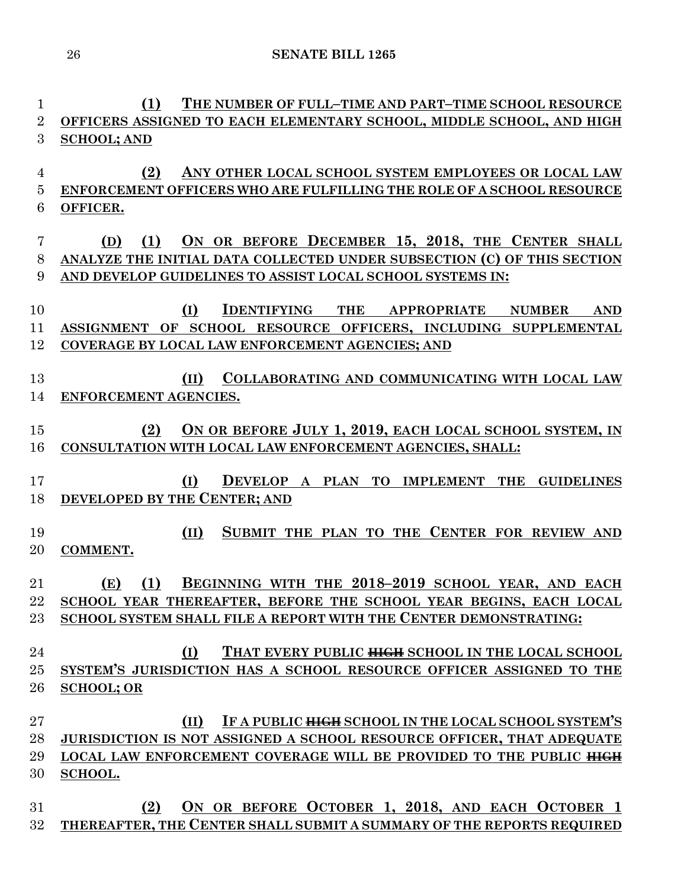**(1) THE NUMBER OF FULL–TIME AND PART–TIME SCHOOL RESOURCE OFFICERS ASSIGNED TO EACH ELEMENTARY SCHOOL, MIDDLE SCHOOL, AND HIGH SCHOOL; AND (2) ANY OTHER LOCAL SCHOOL SYSTEM EMPLOYEES OR LOCAL LAW ENFORCEMENT OFFICERS WHO ARE FULFILLING THE ROLE OF A SCHOOL RESOURCE OFFICER. (D) (1) ON OR BEFORE DECEMBER 15, 2018, THE CENTER SHALL ANALYZE THE INITIAL DATA COLLECTED UNDER SUBSECTION (C) OF THIS SECTION AND DEVELOP GUIDELINES TO ASSIST LOCAL SCHOOL SYSTEMS IN: (I) IDENTIFYING THE APPROPRIATE NUMBER AND ASSIGNMENT OF SCHOOL RESOURCE OFFICERS, INCLUDING SUPPLEMENTAL COVERAGE BY LOCAL LAW ENFORCEMENT AGENCIES; AND (II) COLLABORATING AND COMMUNICATING WITH LOCAL LAW ENFORCEMENT AGENCIES. (2) ON OR BEFORE JULY 1, 2019, EACH LOCAL SCHOOL SYSTEM, IN CONSULTATION WITH LOCAL LAW ENFORCEMENT AGENCIES, SHALL: (I) DEVELOP A PLAN TO IMPLEMENT THE GUIDELINES DEVELOPED BY THE CENTER; AND (II) SUBMIT THE PLAN TO THE CENTER FOR REVIEW AND COMMENT. (E) (1) BEGINNING WITH THE 2018–2019 SCHOOL YEAR, AND EACH SCHOOL YEAR THEREAFTER, BEFORE THE SCHOOL YEAR BEGINS, EACH LOCAL SCHOOL SYSTEM SHALL FILE A REPORT WITH THE CENTER DEMONSTRATING: (I) THAT EVERY PUBLIC HIGH SCHOOL IN THE LOCAL SCHOOL SYSTEM'S JURISDICTION HAS A SCHOOL RESOURCE OFFICER ASSIGNED TO THE SCHOOL; OR (II) IF A PUBLIC HIGH SCHOOL IN THE LOCAL SCHOOL SYSTEM'S JURISDICTION IS NOT ASSIGNED A SCHOOL RESOURCE OFFICER, THAT ADEQUATE LOCAL LAW ENFORCEMENT COVERAGE WILL BE PROVIDED TO THE PUBLIC HIGH SCHOOL. (2) ON OR BEFORE OCTOBER 1, 2018, AND EACH OCTOBER 1 THEREAFTER, THE CENTER SHALL SUBMIT A SUMMARY OF THE REPORTS REQUIRED**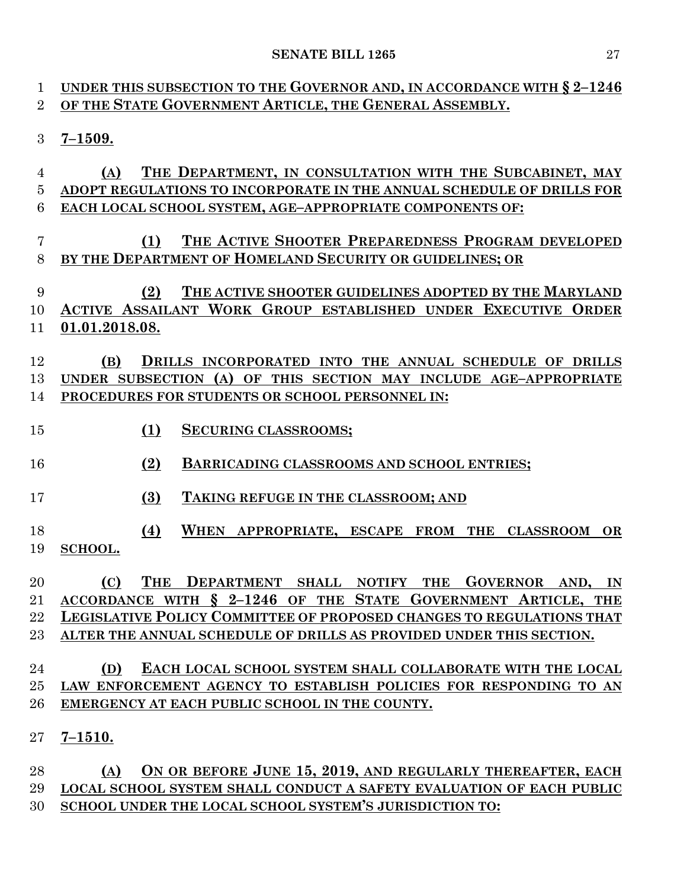| 1              | UNDER THIS SUBSECTION TO THE GOVERNOR AND, IN ACCORDANCE WITH $\S 2-1246$                                            |
|----------------|----------------------------------------------------------------------------------------------------------------------|
| $\overline{2}$ | OF THE STATE GOVERNMENT ARTICLE, THE GENERAL ASSEMBLY.                                                               |
| 3              | $7 - 1509.$                                                                                                          |
| 4              | THE DEPARTMENT, IN CONSULTATION WITH THE SUBCABINET, MAY<br>(A)                                                      |
| $\overline{5}$ | ADOPT REGULATIONS TO INCORPORATE IN THE ANNUAL SCHEDULE OF DRILLS FOR                                                |
| 6              | EACH LOCAL SCHOOL SYSTEM, AGE-APPROPRIATE COMPONENTS OF:                                                             |
| 7<br>8         | THE ACTIVE SHOOTER PREPAREDNESS PROGRAM DEVELOPED<br>(1)<br>BY THE DEPARTMENT OF HOMELAND SECURITY OR GUIDELINES; OR |
| 9              | THE ACTIVE SHOOTER GUIDELINES ADOPTED BY THE MARYLAND<br>(2)                                                         |
| 10             | ACTIVE ASSAILANT WORK GROUP ESTABLISHED UNDER EXECUTIVE ORDER                                                        |
| 11             | 01.01.2018.08.                                                                                                       |
| 12             | DRILLS INCORPORATED INTO THE ANNUAL SCHEDULE OF DRILLS<br>(B)                                                        |
| 13             | UNDER SUBSECTION (A) OF THIS SECTION MAY INCLUDE AGE-APPROPRIATE                                                     |
| 14             | PROCEDURES FOR STUDENTS OR SCHOOL PERSONNEL IN:                                                                      |
|                |                                                                                                                      |
| 15             | (1)<br><b>SECURING CLASSROOMS;</b>                                                                                   |
| 16             | (2)<br><b>BARRICADING CLASSROOMS AND SCHOOL ENTRIES;</b>                                                             |
| 17             | (3)<br>TAKING REFUGE IN THE CLASSROOM; AND                                                                           |
| 18             | (4)<br>WHEN APPROPRIATE, ESCAPE FROM THE CLASSROOM<br><b>OR</b>                                                      |
| 19             | SCHOOL.                                                                                                              |
|                |                                                                                                                      |
| 20             | <b>THE</b><br>DEPARTMENT SHALL NOTIFY THE GOVERNOR AND, IN<br>(C)                                                    |
| 21             | ACCORDANCE WITH § 2-1246 OF THE STATE GOVERNMENT ARTICLE, THE                                                        |
| 22             | LEGISLATIVE POLICY COMMITTEE OF PROPOSED CHANGES TO REGULATIONS THAT                                                 |
| 23             | ALTER THE ANNUAL SCHEDULE OF DRILLS AS PROVIDED UNDER THIS SECTION.                                                  |
|                |                                                                                                                      |
| 24             | EACH LOCAL SCHOOL SYSTEM SHALL COLLABORATE WITH THE LOCAL<br>(D)                                                     |
| 25             | LAW ENFORCEMENT AGENCY TO ESTABLISH POLICIES FOR RESPONDING TO AN                                                    |
| 26             | EMERGENCY AT EACH PUBLIC SCHOOL IN THE COUNTY.                                                                       |
| 27             | $7 - 1510.$                                                                                                          |
| 28             | ON OR BEFORE JUNE 15, 2019, AND REGULARLY THEREAFTER, EACH<br>(A)                                                    |
| 29             | LOCAL SCHOOL SYSTEM SHALL CONDUCT A SAFETY EVALUATION OF EACH PUBLIC                                                 |

**SCHOOL UNDER THE LOCAL SCHOOL SYSTEM'S JURISDICTION TO:**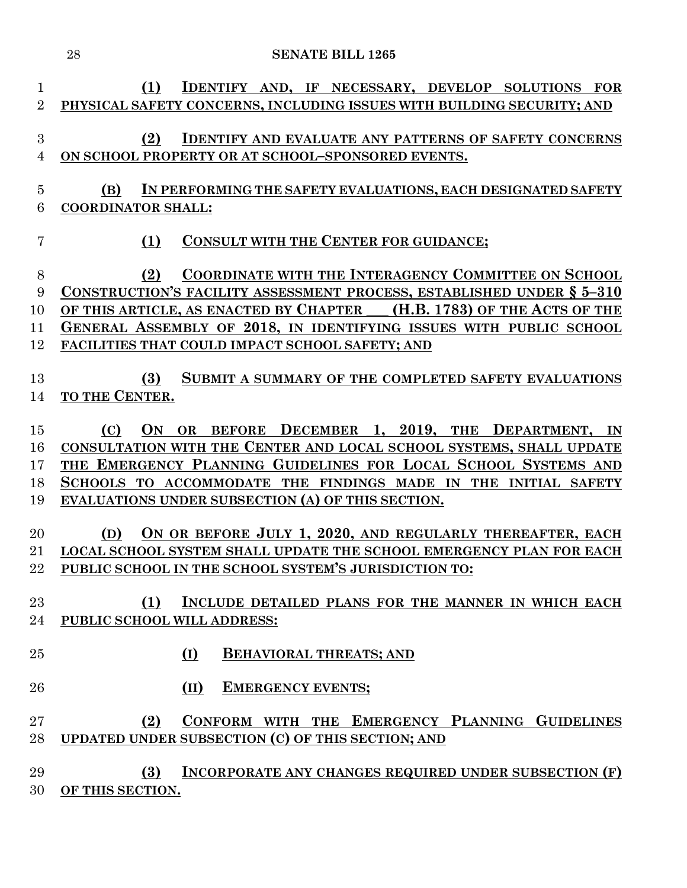|                     | 28<br><b>SENATE BILL 1265</b>                                                                                                                     |
|---------------------|---------------------------------------------------------------------------------------------------------------------------------------------------|
| 1<br>$\overline{2}$ | (1)<br>IDENTIFY AND, IF NECESSARY, DEVELOP SOLUTIONS FOR<br>PHYSICAL SAFETY CONCERNS, INCLUDING ISSUES WITH BUILDING SECURITY; AND                |
|                     |                                                                                                                                                   |
| $\boldsymbol{3}$    | (2)<br><b>IDENTIFY AND EVALUATE ANY PATTERNS OF SAFETY CONCERNS</b>                                                                               |
| $\overline{4}$      | ON SCHOOL PROPERTY OR AT SCHOOL-SPONSORED EVENTS.                                                                                                 |
| $\overline{5}$      | IN PERFORMING THE SAFETY EVALUATIONS, EACH DESIGNATED SAFETY<br>(B)                                                                               |
| 6                   | <b>COORDINATOR SHALL:</b>                                                                                                                         |
| 7                   | CONSULT WITH THE CENTER FOR GUIDANCE;<br>(1)                                                                                                      |
|                     |                                                                                                                                                   |
| 8                   | <b>COORDINATE WITH THE INTERAGENCY COMMITTEE ON SCHOOL</b><br>(2)                                                                                 |
| 9<br>10             | CONSTRUCTION'S FACILITY ASSESSMENT PROCESS, ESTABLISHED UNDER § 5-310<br>OF THIS ARTICLE, AS ENACTED BY CHAPTER __ (H.B. 1783) OF THE ACTS OF THE |
| 11                  | GENERAL ASSEMBLY OF 2018, IN IDENTIFYING ISSUES WITH PUBLIC SCHOOL                                                                                |
| 12                  | FACILITIES THAT COULD IMPACT SCHOOL SAFETY; AND                                                                                                   |
|                     |                                                                                                                                                   |
| 13                  | SUBMIT A SUMMARY OF THE COMPLETED SAFETY EVALUATIONS<br>(3)                                                                                       |
| 14                  | TO THE CENTER.                                                                                                                                    |
| 15                  | BEFORE DECEMBER 1, 2019, THE DEPARTMENT,<br><b>ON</b><br>(C)<br><b>OR</b><br><b>IN</b>                                                            |
| 16                  | CONSULTATION WITH THE CENTER AND LOCAL SCHOOL SYSTEMS, SHALL UPDATE                                                                               |
| 17                  | THE EMERGENCY PLANNING GUIDELINES FOR LOCAL SCHOOL SYSTEMS AND                                                                                    |
| 18                  | SCHOOLS TO ACCOMMODATE THE FINDINGS MADE IN THE INITIAL SAFETY                                                                                    |
| 19                  | EVALUATIONS UNDER SUBSECTION (A) OF THIS SECTION.                                                                                                 |
| 20                  | ON OR BEFORE JULY 1, 2020, AND REGULARLY THEREAFTER, EACH<br>(D)                                                                                  |
| 21                  | LOCAL SCHOOL SYSTEM SHALL UPDATE THE SCHOOL EMERGENCY PLAN FOR EACH                                                                               |
| $22\,$              | PUBLIC SCHOOL IN THE SCHOOL SYSTEM'S JURISDICTION TO:                                                                                             |
|                     |                                                                                                                                                   |
| 23                  | (1)<br>INCLUDE DETAILED PLANS FOR THE MANNER IN WHICH EACH<br>PUBLIC SCHOOL WILL ADDRESS:                                                         |
| 24                  |                                                                                                                                                   |
| 25                  | <b>BEHAVIORAL THREATS; AND</b><br>(I)                                                                                                             |
| 26                  | (II)<br><b>EMERGENCY EVENTS;</b>                                                                                                                  |
| $27\,$              | CONFORM WITH THE EMERGENCY PLANNING GUIDELINES<br>(2)                                                                                             |
| 28                  | UPDATED UNDER SUBSECTION (C) OF THIS SECTION; AND                                                                                                 |
|                     |                                                                                                                                                   |
| 29                  | <b>INCORPORATE ANY CHANGES REQUIRED UNDER SUBSECTION (F)</b><br>(3)                                                                               |
| 30                  | OF THIS SECTION.                                                                                                                                  |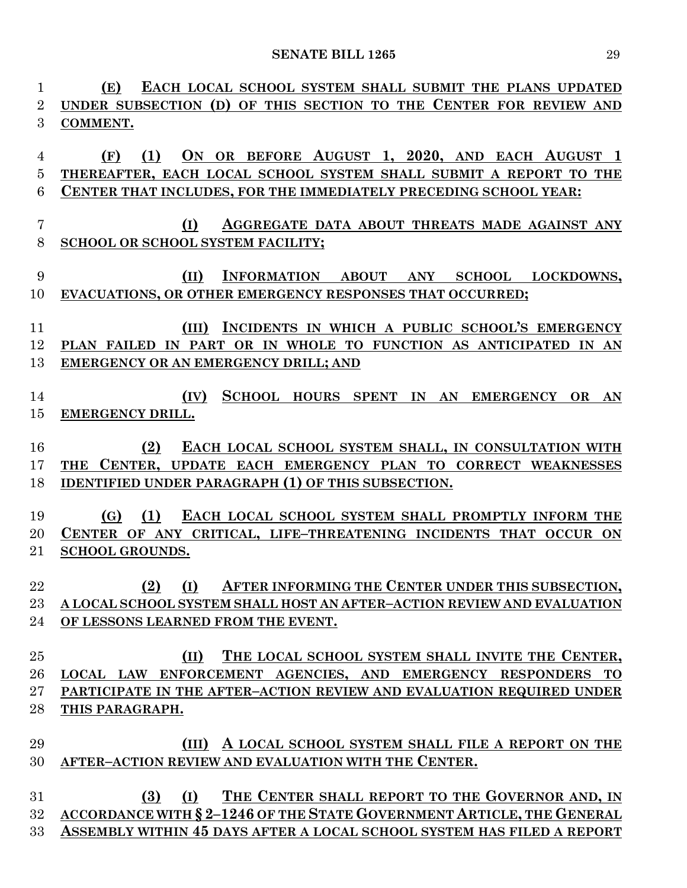| $\mathbf{1}$   | EACH LOCAL SCHOOL SYSTEM SHALL SUBMIT THE PLANS UPDATED<br>(E)          |
|----------------|-------------------------------------------------------------------------|
| $\overline{2}$ | UNDER SUBSECTION (D) OF THIS SECTION TO THE CENTER FOR REVIEW AND       |
| 3              | COMMENT.                                                                |
|                |                                                                         |
| $\overline{4}$ | (1) ON OR BEFORE AUGUST 1, 2020, AND EACH AUGUST 1<br>(F)               |
| 5              | THEREAFTER, EACH LOCAL SCHOOL SYSTEM SHALL SUBMIT A REPORT TO THE       |
| 6              | CENTER THAT INCLUDES, FOR THE IMMEDIATELY PRECEDING SCHOOL YEAR:        |
|                |                                                                         |
| $\overline{7}$ | AGGREGATE DATA ABOUT THREATS MADE AGAINST ANY<br>(I)                    |
| 8              | SCHOOL OR SCHOOL SYSTEM FACILITY;                                       |
|                |                                                                         |
| 9              | INFORMATION ABOUT ANY SCHOOL LOCKDOWNS,<br>(II)                         |
| 10             | EVACUATIONS, OR OTHER EMERGENCY RESPONSES THAT OCCURRED;                |
|                |                                                                         |
| 11             | INCIDENTS IN WHICH A PUBLIC SCHOOL'S EMERGENCY<br>(III)                 |
| 12             | PLAN FAILED IN PART OR IN WHOLE TO FUNCTION AS ANTICIPATED IN AN        |
| 13             | EMERGENCY OR AN EMERGENCY DRILL; AND                                    |
|                |                                                                         |
| 14             | SCHOOL HOURS SPENT IN AN EMERGENCY OR AN<br>(IV)                        |
| 15             | EMERGENCY DRILL.                                                        |
|                |                                                                         |
| 16             | EACH LOCAL SCHOOL SYSTEM SHALL, IN CONSULTATION WITH<br>(2)             |
| 17             | THE CENTER, UPDATE EACH EMERGENCY PLAN TO CORRECT WEAKNESSES            |
| 18             | <b>IDENTIFIED UNDER PARAGRAPH (1) OF THIS SUBSECTION.</b>               |
|                |                                                                         |
| 19             | (1)<br>EACH LOCAL SCHOOL SYSTEM SHALL PROMPTLY INFORM THE<br><b>(G)</b> |
| 20             | CENTER OF ANY CRITICAL, LIFE-THREATENING INCIDENTS THAT OCCUR ON        |
| 21             | <b>SCHOOL GROUNDS.</b>                                                  |
|                |                                                                         |
| 22             | (2) (I) AFTER INFORMING THE CENTER UNDER THIS SUBSECTION,               |
| 23             | A LOCAL SCHOOL SYSTEM SHALL HOST AN AFTER-ACTION REVIEW AND EVALUATION  |
| 24             | OF LESSONS LEARNED FROM THE EVENT.                                      |
|                |                                                                         |
| 25             | THE LOCAL SCHOOL SYSTEM SHALL INVITE THE CENTER,<br>(II)                |
| 26             | LOCAL LAW ENFORCEMENT AGENCIES, AND EMERGENCY RESPONDERS TO             |
| 27             | PARTICIPATE IN THE AFTER-ACTION REVIEW AND EVALUATION REQUIRED UNDER    |
| 28             | THIS PARAGRAPH.                                                         |
|                |                                                                         |
| 29             | (III) A LOCAL SCHOOL SYSTEM SHALL FILE A REPORT ON THE                  |
| 30             | AFTER-ACTION REVIEW AND EVALUATION WITH THE CENTER.                     |
|                |                                                                         |
| 31             | (I) THE CENTER SHALL REPORT TO THE GOVERNOR AND, IN<br>(3)              |
| 32             | ACCORDANCE WITH § 2-1246 OF THE STATE GOVERNMENT ARTICLE, THE GENERAL   |
| 33             | ASSEMBLY WITHIN 45 DAYS AFTER A LOCAL SCHOOL SYSTEM HAS FILED A REPORT  |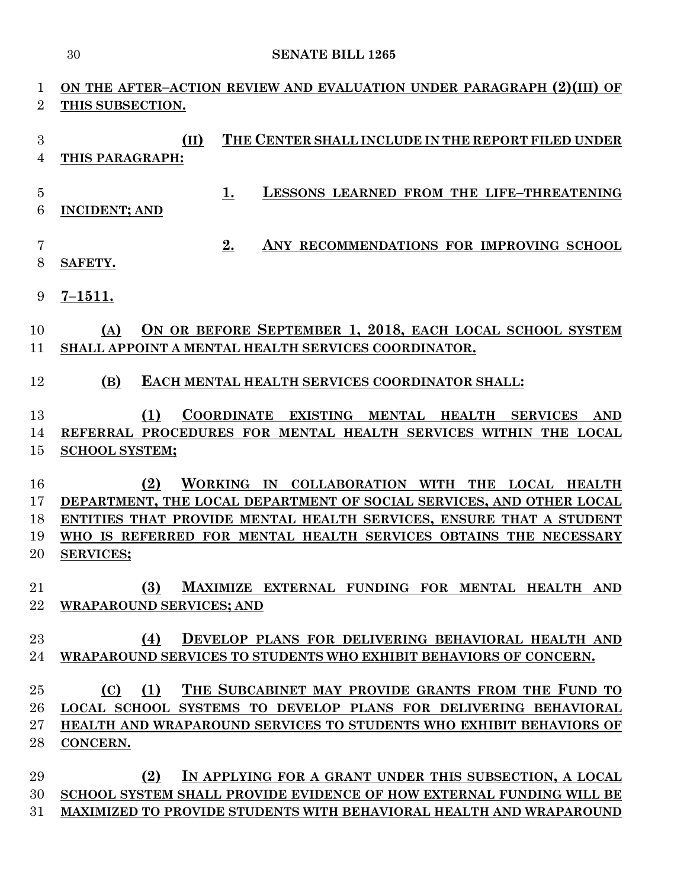# **ON THE AFTER–ACTION REVIEW AND EVALUATION UNDER PARAGRAPH (2)(III) OF THIS SUBSECTION.**

 **(II) THE CENTER SHALL INCLUDE IN THE REPORT FILED UNDER THIS PARAGRAPH:**

- **1. LESSONS LEARNED FROM THE LIFE–THREATENING**
- **INCIDENT; AND**
- **2. ANY RECOMMENDATIONS FOR IMPROVING SCHOOL SAFETY.**
- **7–1511.**

## **(A) ON OR BEFORE SEPTEMBER 1, 2018, EACH LOCAL SCHOOL SYSTEM SHALL APPOINT A MENTAL HEALTH SERVICES COORDINATOR.**

**(B) EACH MENTAL HEALTH SERVICES COORDINATOR SHALL:**

# **(1) COORDINATE EXISTING MENTAL HEALTH SERVICES AND REFERRAL PROCEDURES FOR MENTAL HEALTH SERVICES WITHIN THE LOCAL SCHOOL SYSTEM;**

 **(2) WORKING IN COLLABORATION WITH THE LOCAL HEALTH DEPARTMENT, THE LOCAL DEPARTMENT OF SOCIAL SERVICES, AND OTHER LOCAL ENTITIES THAT PROVIDE MENTAL HEALTH SERVICES, ENSURE THAT A STUDENT WHO IS REFERRED FOR MENTAL HEALTH SERVICES OBTAINS THE NECESSARY SERVICES;**

- **(3) MAXIMIZE EXTERNAL FUNDING FOR MENTAL HEALTH AND WRAPAROUND SERVICES; AND**
- **(4) DEVELOP PLANS FOR DELIVERING BEHAVIORAL HEALTH AND WRAPAROUND SERVICES TO STUDENTS WHO EXHIBIT BEHAVIORS OF CONCERN.**

 **(C) (1) THE SUBCABINET MAY PROVIDE GRANTS FROM THE FUND TO LOCAL SCHOOL SYSTEMS TO DEVELOP PLANS FOR DELIVERING BEHAVIORAL HEALTH AND WRAPAROUND SERVICES TO STUDENTS WHO EXHIBIT BEHAVIORS OF CONCERN.**

 **(2) IN APPLYING FOR A GRANT UNDER THIS SUBSECTION, A LOCAL SCHOOL SYSTEM SHALL PROVIDE EVIDENCE OF HOW EXTERNAL FUNDING WILL BE MAXIMIZED TO PROVIDE STUDENTS WITH BEHAVIORAL HEALTH AND WRAPAROUND**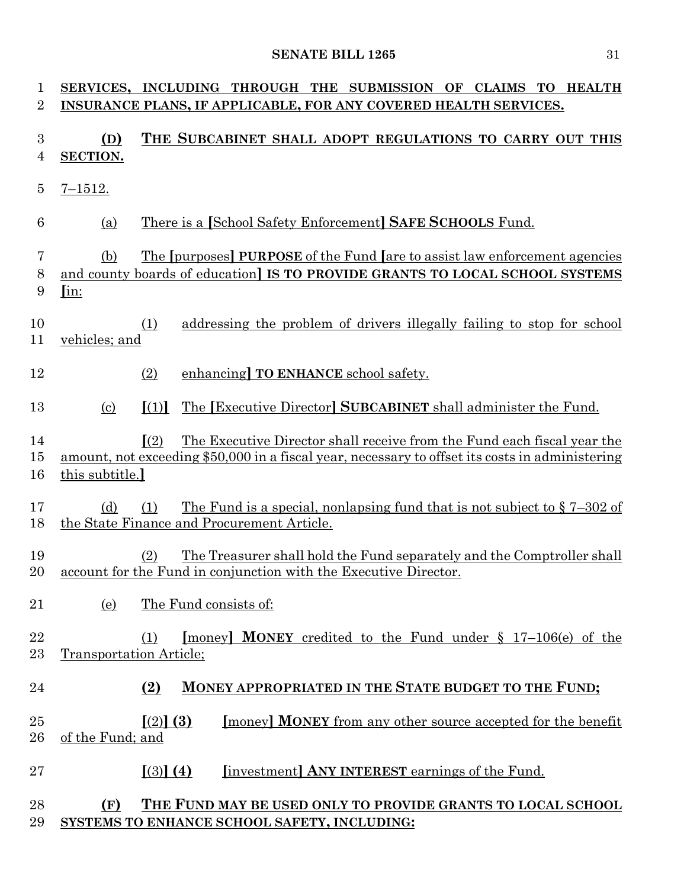| 1<br>$\overline{2}$ |                             | SERVICES, INCLUDING THROUGH THE SUBMISSION OF CLAIMS TO HEALTH<br>INSURANCE PLANS, IF APPLICABLE, FOR ANY COVERED HEALTH SERVICES.                                                         |
|---------------------|-----------------------------|--------------------------------------------------------------------------------------------------------------------------------------------------------------------------------------------|
| 3<br>4              | (D)<br>SECTION.             | THE SUBCABINET SHALL ADOPT REGULATIONS TO CARRY OUT THIS                                                                                                                                   |
| $\overline{5}$      | $7 - 1512.$                 |                                                                                                                                                                                            |
| 6                   | (a)                         | There is a [School Safety Enforcement] SAFE SCHOOLS Fund.                                                                                                                                  |
| 7<br>8<br>9         | (b)<br>$\lim$               | The [purposes] PURPOSE of the Fund [are to assist law enforcement agencies]<br>and county boards of education] IS TO PROVIDE GRANTS TO LOCAL SCHOOL SYSTEMS                                |
| 10<br>11            | vehicles; and               | addressing the problem of drivers illegally failing to stop for school<br>(1)                                                                                                              |
| 12                  |                             | (2)<br>enhancing TO ENHANCE school safety.                                                                                                                                                 |
| 13                  | $\left( \mathrm{c} \right)$ | The [Executive Director] SUBCABINET shall administer the Fund.<br>$\lceil (1) \rceil$                                                                                                      |
| 14<br>15<br>16      | this subtitle.              | $\sqrt{(2)}$<br>The Executive Director shall receive from the Fund each fiscal year the<br>amount, not exceeding \$50,000 in a fiscal year, necessary to offset its costs in administering |
| 17<br>18            | (d)                         | <u>The Fund is a special, nonlapsing fund that is not subject to <math>\S 7-302</math> of</u><br>(1)<br>the State Finance and Procurement Article.                                         |
| 19<br>20            |                             | The Treasurer shall hold the Fund separately and the Comptroller shall<br>(2)<br>account for the Fund in conjunction with the Executive Director.                                          |
| 21                  | (e)                         | The Fund consists of:                                                                                                                                                                      |
| 22<br>23            | Transportation Article;     | [money] <b>MONEY</b> credited to the Fund under $\S$ 17-106(e) of the                                                                                                                      |
| 24                  |                             | MONEY APPROPRIATED IN THE STATE BUDGET TO THE FUND;<br>(2)                                                                                                                                 |
| 25<br>26            | of the Fund; and            | $(2)$ (3)<br>[money] <b>MONEY</b> from any other source accepted for the benefit                                                                                                           |
| 27                  |                             | $(3)$ (4)<br><b>Investment</b> ANY INTEREST earnings of the Fund.                                                                                                                          |
| 28<br>29            | (F)                         | THE FUND MAY BE USED ONLY TO PROVIDE GRANTS TO LOCAL SCHOOL<br>SYSTEMS TO ENHANCE SCHOOL SAFETY, INCLUDING:                                                                                |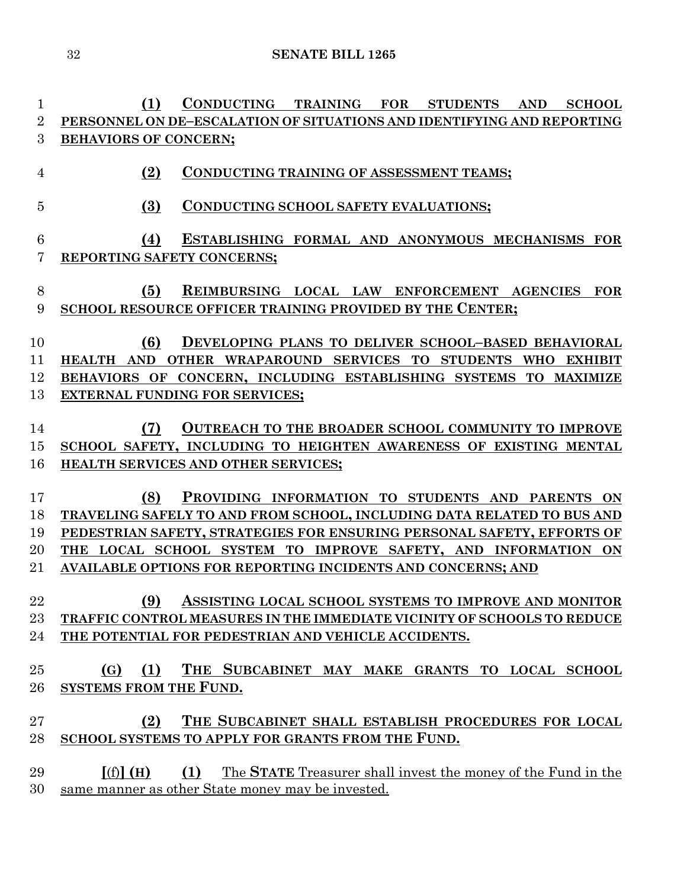**(1) CONDUCTING TRAINING FOR STUDENTS AND SCHOOL PERSONNEL ON DE–ESCALATION OF SITUATIONS AND IDENTIFYING AND REPORTING BEHAVIORS OF CONCERN;**

- **(2) CONDUCTING TRAINING OF ASSESSMENT TEAMS;**
- **(3) CONDUCTING SCHOOL SAFETY EVALUATIONS;**

# **(4) ESTABLISHING FORMAL AND ANONYMOUS MECHANISMS FOR REPORTING SAFETY CONCERNS;**

### **(5) REIMBURSING LOCAL LAW ENFORCEMENT AGENCIES FOR SCHOOL RESOURCE OFFICER TRAINING PROVIDED BY THE CENTER;**

- **(6) DEVELOPING PLANS TO DELIVER SCHOOL–BASED BEHAVIORAL HEALTH AND OTHER WRAPAROUND SERVICES TO STUDENTS WHO EXHIBIT BEHAVIORS OF CONCERN, INCLUDING ESTABLISHING SYSTEMS TO MAXIMIZE EXTERNAL FUNDING FOR SERVICES;**
- **(7) OUTREACH TO THE BROADER SCHOOL COMMUNITY TO IMPROVE SCHOOL SAFETY, INCLUDING TO HEIGHTEN AWARENESS OF EXISTING MENTAL HEALTH SERVICES AND OTHER SERVICES;**
- **(8) PROVIDING INFORMATION TO STUDENTS AND PARENTS ON TRAVELING SAFELY TO AND FROM SCHOOL, INCLUDING DATA RELATED TO BUS AND PEDESTRIAN SAFETY, STRATEGIES FOR ENSURING PERSONAL SAFETY, EFFORTS OF THE LOCAL SCHOOL SYSTEM TO IMPROVE SAFETY, AND INFORMATION ON AVAILABLE OPTIONS FOR REPORTING INCIDENTS AND CONCERNS; AND**

# **(9) ASSISTING LOCAL SCHOOL SYSTEMS TO IMPROVE AND MONITOR TRAFFIC CONTROL MEASURES IN THE IMMEDIATE VICINITY OF SCHOOLS TO REDUCE THE POTENTIAL FOR PEDESTRIAN AND VEHICLE ACCIDENTS.**

# **(G) (1) THE SUBCABINET MAY MAKE GRANTS TO LOCAL SCHOOL SYSTEMS FROM THE FUND.**

# **(2) THE SUBCABINET SHALL ESTABLISH PROCEDURES FOR LOCAL SCHOOL SYSTEMS TO APPLY FOR GRANTS FROM THE FUND.**

 **[**(f)**] (H) (1)** The **STATE** Treasurer shall invest the money of the Fund in the same manner as other State money may be invested.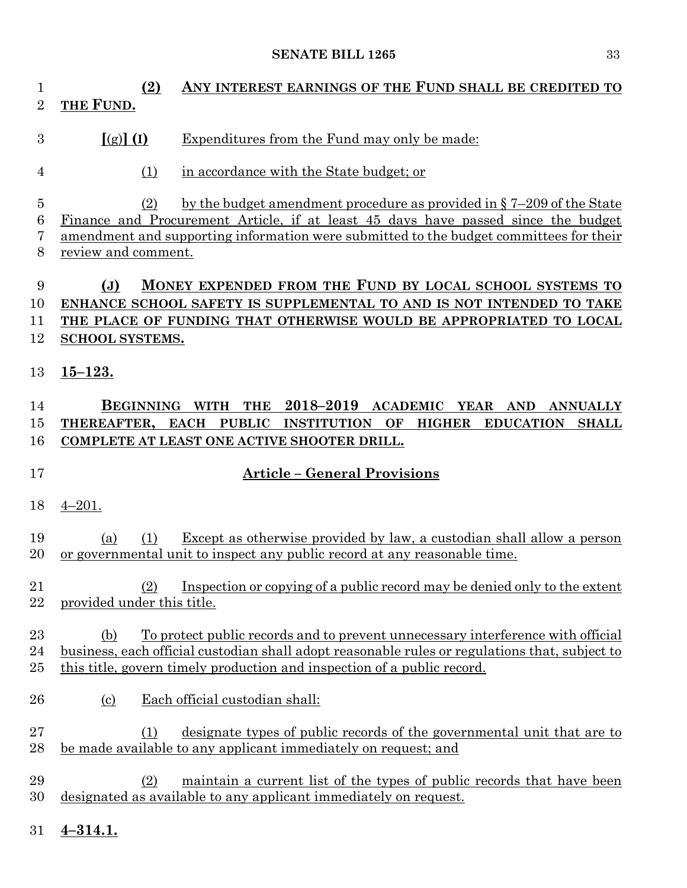# **(2) ANY INTEREST EARNINGS OF THE FUND SHALL BE CREDITED TO THE FUND. [**(g)**] (I)** Expenditures from the Fund may only be made: (1) in accordance with the State budget; or (2) by the budget amendment procedure as provided in § 7–209 of the State Finance and Procurement Article, if at least 45 days have passed since the budget amendment and supporting information were submitted to the budget committees for their review and comment.

- **(J) MONEY EXPENDED FROM THE FUND BY LOCAL SCHOOL SYSTEMS TO ENHANCE SCHOOL SAFETY IS SUPPLEMENTAL TO AND IS NOT INTENDED TO TAKE THE PLACE OF FUNDING THAT OTHERWISE WOULD BE APPROPRIATED TO LOCAL SCHOOL SYSTEMS.**
- **15–123.**

### **BEGINNING WITH THE 2018–2019 ACADEMIC YEAR AND ANNUALLY THEREAFTER, EACH PUBLIC INSTITUTION OF HIGHER EDUCATION SHALL COMPLETE AT LEAST ONE ACTIVE SHOOTER DRILL.**

#### **Article – General Provisions**

4–201.

 (a) (1) Except as otherwise provided by law, a custodian shall allow a person or governmental unit to inspect any public record at any reasonable time.

 (2) Inspection or copying of a public record may be denied only to the extent provided under this title.

### (b) To protect public records and to prevent unnecessary interference with official business, each official custodian shall adopt reasonable rules or regulations that, subject to this title, govern timely production and inspection of a public record.

(c) Each official custodian shall:

 (1) designate types of public records of the governmental unit that are to be made available to any applicant immediately on request; and

 (2) maintain a current list of the types of public records that have been designated as available to any applicant immediately on request.

**4–314.1.**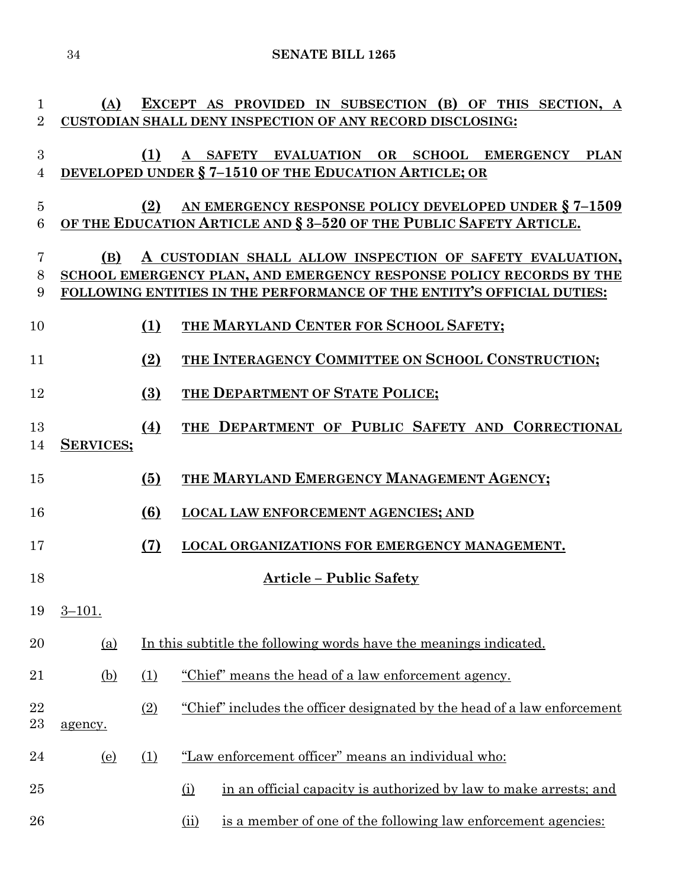| $\mathbf{1}$          | (A)                                                                    |                  | EXCEPT AS PROVIDED IN SUBSECTION (B) OF THIS SECTION, A                                                                         |  |  |
|-----------------------|------------------------------------------------------------------------|------------------|---------------------------------------------------------------------------------------------------------------------------------|--|--|
| $\overline{2}$        |                                                                        |                  | CUSTODIAN SHALL DENY INSPECTION OF ANY RECORD DISCLOSING:                                                                       |  |  |
| $\boldsymbol{3}$<br>4 |                                                                        | (1)              | A SAFETY EVALUATION OR SCHOOL EMERGENCY PLAN<br><b>DEVELOPED UNDER § 7-1510 OF THE EDUCATION ARTICLE; OR</b>                    |  |  |
| $\overline{5}$        |                                                                        | (2)              | AN EMERGENCY RESPONSE POLICY DEVELOPED UNDER § 7-1509                                                                           |  |  |
| 6                     |                                                                        |                  | OF THE EDUCATION ARTICLE AND § 3-520 OF THE PUBLIC SAFETY ARTICLE.                                                              |  |  |
|                       |                                                                        |                  |                                                                                                                                 |  |  |
| 7<br>8                | (B)                                                                    |                  | A CUSTODIAN SHALL ALLOW INSPECTION OF SAFETY EVALUATION,<br>SCHOOL EMERGENCY PLAN, AND EMERGENCY RESPONSE POLICY RECORDS BY THE |  |  |
| 9                     | FOLLOWING ENTITIES IN THE PERFORMANCE OF THE ENTITY'S OFFICIAL DUTIES: |                  |                                                                                                                                 |  |  |
| 10                    |                                                                        | (1)              | THE MARYLAND CENTER FOR SCHOOL SAFETY;                                                                                          |  |  |
| 11                    |                                                                        | (2)              | THE INTERAGENCY COMMITTEE ON SCHOOL CONSTRUCTION;                                                                               |  |  |
| 12                    |                                                                        | $\left(3\right)$ | THE DEPARTMENT OF STATE POLICE;                                                                                                 |  |  |
| 13<br>14              | <b>SERVICES;</b>                                                       | (4)              | THE DEPARTMENT OF PUBLIC SAFETY AND CORRECTIONAL                                                                                |  |  |
| 15                    |                                                                        | (5)              | THE MARYLAND EMERGENCY MANAGEMENT AGENCY;                                                                                       |  |  |
| 16                    |                                                                        | (6)              | <b>LOCAL LAW ENFORCEMENT AGENCIES; AND</b>                                                                                      |  |  |
| 17                    |                                                                        | (7)              | LOCAL ORGANIZATIONS FOR EMERGENCY MANAGEMENT.                                                                                   |  |  |
| 18                    |                                                                        |                  | <b>Article - Public Safety</b>                                                                                                  |  |  |
| 19                    | $3 - 101.$                                                             |                  |                                                                                                                                 |  |  |
| 20                    | <u>(a)</u>                                                             |                  | In this subtitle the following words have the meanings indicated.                                                               |  |  |
| 21                    | <u>(b)</u>                                                             | (1)              | "Chief" means the head of a law enforcement agency.                                                                             |  |  |
| 22<br>23              | agency.                                                                | (2)              | "Chief" includes the officer designated by the head of a law enforcement                                                        |  |  |
| 24                    | <u>(e)</u>                                                             | (1)              | "Law enforcement officer" means an individual who:                                                                              |  |  |
| 25                    |                                                                        |                  | in an official capacity is authorized by law to make arrests; and<br>(i)                                                        |  |  |
| 26                    |                                                                        |                  | is a member of one of the following law enforcement agencies:<br>(ii)                                                           |  |  |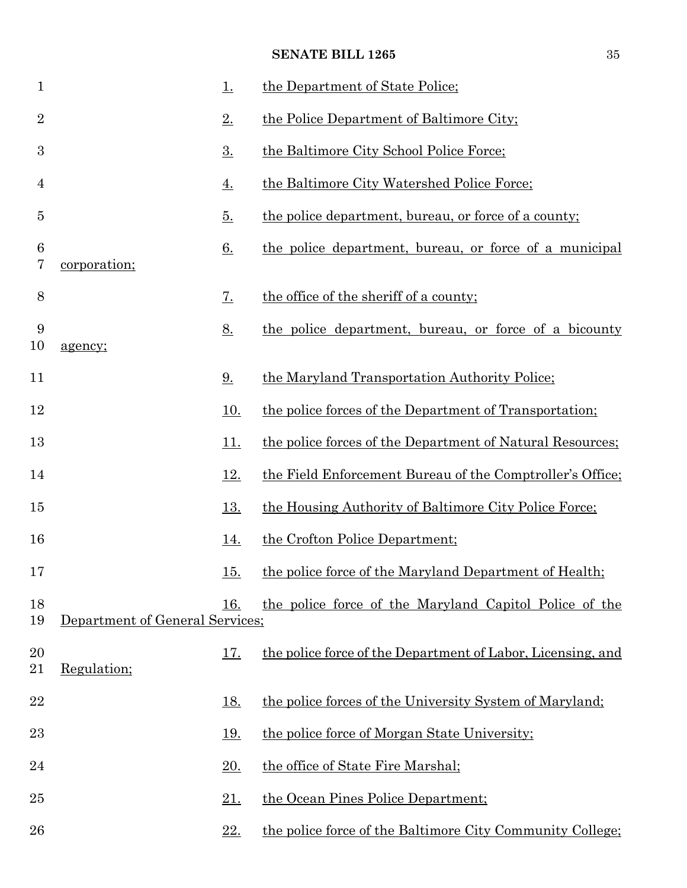| $\mathbf{1}$   |                                 | <u>1.</u>   | the Department of State Police;                             |
|----------------|---------------------------------|-------------|-------------------------------------------------------------|
| $\overline{2}$ |                                 | 2.          | the Police Department of Baltimore City;                    |
| 3              |                                 | 3.          | the Baltimore City School Police Force;                     |
| $\overline{4}$ |                                 | <u>4.</u>   | the Baltimore City Watershed Police Force;                  |
| 5              |                                 | <u>5.</u>   | the police department, bureau, or force of a county;        |
| 6<br>7         | corporation;                    | <u>6.</u>   | the police department, bureau, or force of a municipal      |
| $8\,$          |                                 | 7.          | the office of the sheriff of a county;                      |
| 9<br>10        | agency;                         | 8.          | the police department, bureau, or force of a bicounty       |
| 11             |                                 | 9.          | the Maryland Transportation Authority Police;               |
| 12             |                                 | <u>10.</u>  | the police forces of the Department of Transportation;      |
| 13             |                                 | <u> 11.</u> | the police forces of the Department of Natural Resources;   |
| 14             |                                 | <u>12.</u>  | the Field Enforcement Bureau of the Comptroller's Office;   |
| 15             |                                 | <u>13.</u>  | the Housing Authority of Baltimore City Police Force;       |
| 16             |                                 | <u>14.</u>  | the Crofton Police Department;                              |
| 17             |                                 | <u>15.</u>  | the police force of the Maryland Department of Health;      |
| 18<br>19       | Department of General Services; | 16.         | the police force of the Maryland Capitol Police of the      |
| 20<br>21       | Regulation;                     | <u> 17.</u> | the police force of the Department of Labor, Licensing, and |
| 22             |                                 | <u>18.</u>  | the police forces of the University System of Maryland:     |
| 23             |                                 | <u> 19.</u> | the police force of Morgan State University;                |
| 24             |                                 | 20.         | the office of State Fire Marshal;                           |
| $25\,$         |                                 | <u>21.</u>  | the Ocean Pines Police Department;                          |
| 26             |                                 | 22.         | the police force of the Baltimore City Community College;   |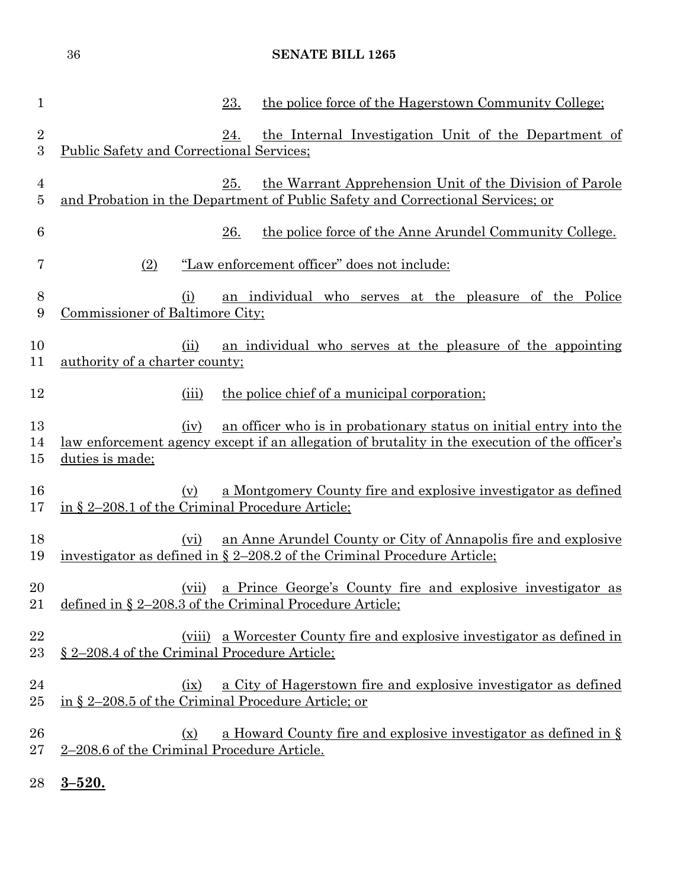| $\mathbf{1}$        | the police force of the Hagerstown Community College:<br>23.                                                                                                                                          |
|---------------------|-------------------------------------------------------------------------------------------------------------------------------------------------------------------------------------------------------|
| $\overline{2}$<br>3 | the Internal Investigation Unit of the Department of<br>24.<br><b>Public Safety and Correctional Services:</b>                                                                                        |
| $\overline{4}$<br>5 | 25.<br>the Warrant Apprehension Unit of the Division of Parole<br>and Probation in the Department of Public Safety and Correctional Services; or                                                      |
| 6                   | 26.<br>the police force of the Anne Arundel Community College.                                                                                                                                        |
| 7                   | (2)<br>"Law enforcement officer" does not include:                                                                                                                                                    |
| 8<br>9              | an individual who serves at the pleasure of the Police<br>(i)<br>Commissioner of Baltimore City;                                                                                                      |
| 10<br>11            | (ii)<br>an individual who serves at the pleasure of the appointing<br>authority of a charter county;                                                                                                  |
| 12                  | the police chief of a municipal corporation;<br>(iii)                                                                                                                                                 |
| 13<br>14<br>$15\,$  | an officer who is in probationary status on initial entry into the<br>(iv)<br><u>law enforcement agency except if an allegation of brutality in the execution of the officer's</u><br>duties is made; |
| 16<br>17            | a Montgomery County fire and explosive investigator as defined<br>(v)<br>in § 2–208.1 of the Criminal Procedure Article;                                                                              |
| 18<br>19            | an Anne Arundel County or City of Annapolis fire and explosive<br>(vi)<br>investigator as defined in § 2-208.2 of the Criminal Procedure Article;                                                     |
| 20<br>21            | a Prince George's County fire and explosive investigator as<br>(vii)<br>defined in $\S 2-208.3$ of the Criminal Procedure Article;                                                                    |
| 22<br>23            | a Worcester County fire and explosive investigator as defined in<br>(viii)<br>§ 2–208.4 of the Criminal Procedure Article;                                                                            |
| 24<br>$25\,$        | a City of Hagerstown fire and explosive investigator as defined<br>(ix)<br>in § 2-208.5 of the Criminal Procedure Article; or                                                                         |
| 26<br>$27\,$        | a Howard County fire and explosive investigator as defined in §<br>$(\underline{x})$<br>2-208.6 of the Criminal Procedure Article.                                                                    |
|                     |                                                                                                                                                                                                       |

**3–520.**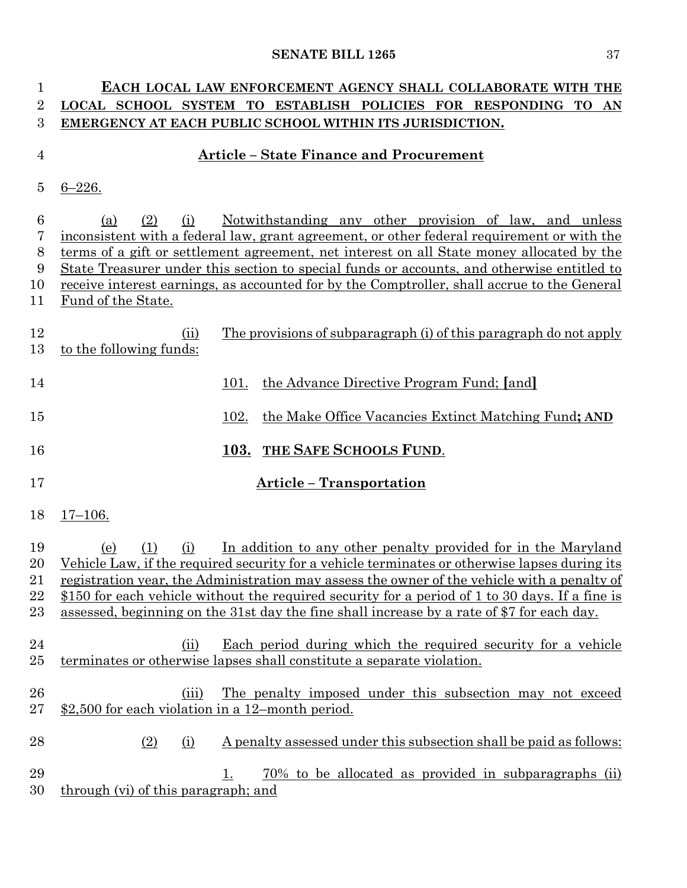| 1              | EACH LOCAL LAW ENFORCEMENT AGENCY SHALL COLLABORATE WITH THE                                          |  |  |  |  |
|----------------|-------------------------------------------------------------------------------------------------------|--|--|--|--|
| 2              | LOCAL SCHOOL SYSTEM TO ESTABLISH POLICIES FOR RESPONDING TO AN                                        |  |  |  |  |
| 3              | EMERGENCY AT EACH PUBLIC SCHOOL WITHIN ITS JURISDICTION.                                              |  |  |  |  |
| $\overline{4}$ | <b>Article - State Finance and Procurement</b>                                                        |  |  |  |  |
| 5              | $6 - 226.$                                                                                            |  |  |  |  |
| 6              | Notwithstanding any other provision of law, and unless<br>(a)<br>(2)<br>(i)                           |  |  |  |  |
| 7              | inconsistent with a federal law, grant agreement, or other federal requirement or with the            |  |  |  |  |
| 8              | terms of a gift or settlement agreement, net interest on all State money allocated by the             |  |  |  |  |
| 9              | <u>State Treasurer under this section to special funds or accounts, and otherwise entitled to</u>     |  |  |  |  |
| 10             | receive interest earnings, as accounted for by the Comptroller, shall accrue to the General           |  |  |  |  |
| 11             | <u>Fund of the State.</u>                                                                             |  |  |  |  |
| 12<br>13       | The provisions of subparagraph (i) of this paragraph do not apply<br>(ii)<br>to the following funds:  |  |  |  |  |
| 14             | the Advance Directive Program Fund; [and]<br>101.                                                     |  |  |  |  |
| 15             | the Make Office Vacancies Extinct Matching Fund; AND<br>102.                                          |  |  |  |  |
| 16             | 103. THE SAFE SCHOOLS FUND.                                                                           |  |  |  |  |
| 17             | <b>Article - Transportation</b>                                                                       |  |  |  |  |
| 18             | $17 - 106.$                                                                                           |  |  |  |  |
| 19             | In addition to any other penalty provided for in the Maryland<br>(i)<br>(e)<br>(1)                    |  |  |  |  |
| 20             | Vehicle Law, if the required security for a vehicle terminates or otherwise lapses during its         |  |  |  |  |
| 21             | registration year, the Administration may assess the owner of the vehicle with a penalty of           |  |  |  |  |
| 22             | \$150 for each vehicle without the required security for a period of 1 to 30 days. If a fine is       |  |  |  |  |
| 23             | assessed, beginning on the 31st day the fine shall increase by a rate of \$7 for each day.            |  |  |  |  |
|                |                                                                                                       |  |  |  |  |
| 24             | <u>Each period during which the required security for a vehicle</u><br>(ii)                           |  |  |  |  |
| $25\,$         | terminates or otherwise lapses shall constitute a separate violation.                                 |  |  |  |  |
|                |                                                                                                       |  |  |  |  |
| 26             | The penalty imposed under this subsection may not exceed<br>(iii)                                     |  |  |  |  |
| $27\,$         | \$2,500 for each violation in a 12-month period.                                                      |  |  |  |  |
| 28             | <u>A penalty assessed under this subsection shall be paid as follows:</u><br><u>(2)</u><br><u>(i)</u> |  |  |  |  |
| 29             | 70% to be allocated as provided in subparagraphs (ii)<br>1.                                           |  |  |  |  |
| 30             | through (vi) of this paragraph; and                                                                   |  |  |  |  |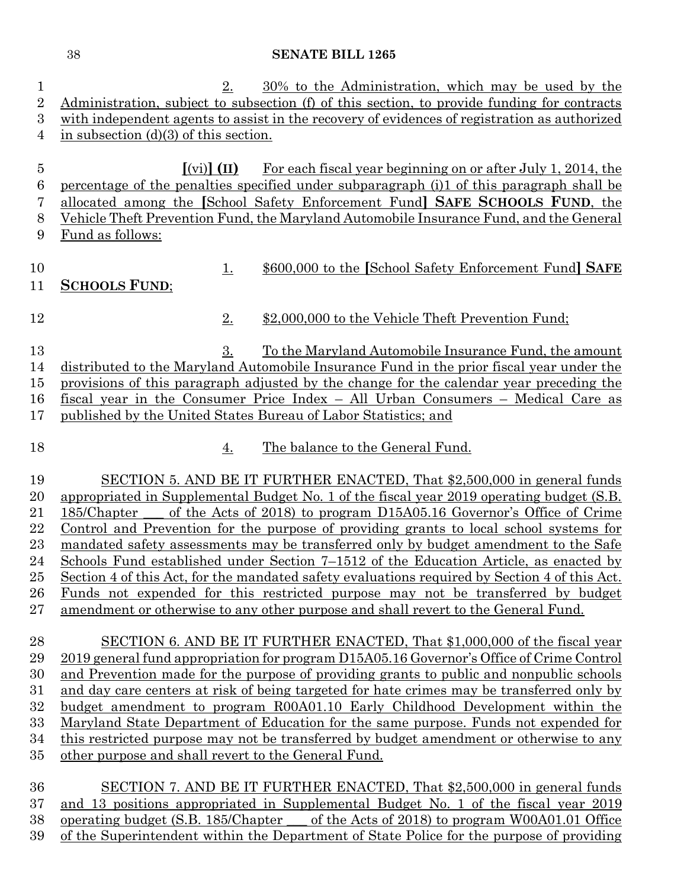| $\mathbf{1}$   | 30% to the Administration, which may be used by the<br>2.                                                                            |
|----------------|--------------------------------------------------------------------------------------------------------------------------------------|
| $\overline{2}$ | Administration, subject to subsection (f) of this section, to provide funding for contracts                                          |
| 3              | with independent agents to assist in the recovery of evidences of registration as authorized                                         |
| $\overline{4}$ | in subsection $(d)(3)$ of this section.                                                                                              |
|                |                                                                                                                                      |
| $\bf 5$        | $\left[ \left( \mathrm{vi}\right) \right] \left( \mathrm{II}\right)$<br>For each fiscal year beginning on or after July 1, 2014, the |
| 6              | percentage of the penalties specified under subparagraph (i)1 of this paragraph shall be                                             |
| 7              | allocated among the [School Safety Enforcement Fund] SAFE SCHOOLS FUND, the                                                          |
| 8              | Vehicle Theft Prevention Fund, the Maryland Automobile Insurance Fund, and the General                                               |
| 9              | Fund as follows:                                                                                                                     |
|                |                                                                                                                                      |
| 10             | \$600,000 to the [School Safety Enforcement Fund] SAFE<br><u>1.</u>                                                                  |
| 11             | <b>SCHOOLS FUND:</b>                                                                                                                 |
|                |                                                                                                                                      |
| 12             | 2.<br>\$2,000,000 to the Vehicle Theft Prevention Fund;                                                                              |
|                |                                                                                                                                      |
| 13             | 3.<br>To the Maryland Automobile Insurance Fund, the amount                                                                          |
| 14             | distributed to the Maryland Automobile Insurance Fund in the prior fiscal year under the                                             |
| $15\,$         | provisions of this paragraph adjusted by the change for the calendar year preceding the                                              |
| 16             | fiscal year in the Consumer Price Index - All Urban Consumers - Medical Care as                                                      |
| 17             | published by the United States Bureau of Labor Statistics; and                                                                       |
|                |                                                                                                                                      |
| 18             | The balance to the General Fund.<br>4.                                                                                               |
|                |                                                                                                                                      |
| 19             | SECTION 5. AND BE IT FURTHER ENACTED, That \$2,500,000 in general funds                                                              |
| 20             | appropriated in Supplemental Budget No. 1 of the fiscal year 2019 operating budget (S.B.                                             |
| 21             | of the Acts of 2018) to program D15A05.16 Governor's Office of Crime<br>185/Chapter                                                  |
| 22             | Control and Prevention for the purpose of providing grants to local school systems for                                               |
| 23             | mandated safety assessments may be transferred only by budget amendment to the Safe                                                  |
| 24             | Schools Fund established under Section 7–1512 of the Education Article, as enacted by                                                |
| 25             | Section 4 of this Act, for the mandated safety evaluations required by Section 4 of this Act.                                        |
| 26             | <u>Funds</u> not expended for this restricted purpose may not be transferred by budget                                               |
| $27\,$         | amendment or otherwise to any other purpose and shall revert to the General Fund.                                                    |
|                |                                                                                                                                      |
| 28             | SECTION 6. AND BE IT FURTHER ENACTED, That \$1,000,000 of the fiscal year                                                            |
| 29             | 2019 general fund appropriation for program D15A05.16 Governor's Office of Crime Control                                             |
| 30             | and Prevention made for the purpose of providing grants to public and nonpublic schools                                              |
| $31\,$         | and day care centers at risk of being targeted for hate crimes may be transferred only by                                            |
| 32             | <u>budget amendment to program R00A01.10 Early Childhood Development within the</u>                                                  |
| 33             | Maryland State Department of Education for the same purpose. Funds not expended for                                                  |
| 34             | this restricted purpose may not be transferred by budget amendment or otherwise to any                                               |
| $35\,$         | other purpose and shall revert to the General Fund.                                                                                  |
|                |                                                                                                                                      |
| 36             | SECTION 7. AND BE IT FURTHER ENACTED, That \$2,500,000 in general funds                                                              |
| 37             | and 13 positions appropriated in Supplemental Budget No. 1 of the fiscal year 2019                                                   |
| $38\,$         | <u>operating budget (S.B. 185/Chapter ___ of the Acts of 2018) to program W00A01.01 Office</u>                                       |

39 of the Superintendent within the Department of State Police for the purpose of providing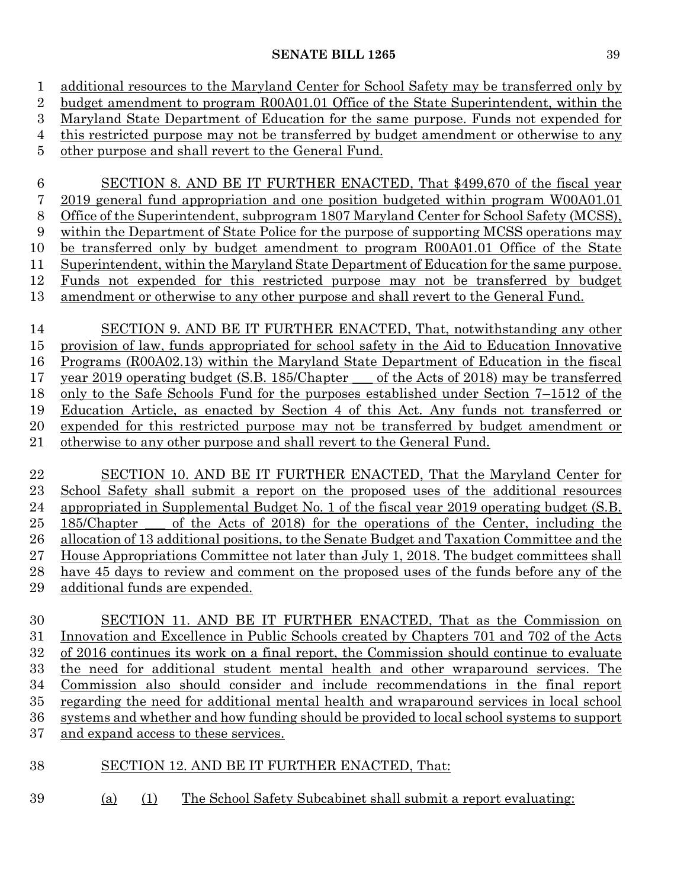additional resources to the Maryland Center for School Safety may be transferred only by budget amendment to program R00A01.01 Office of the State Superintendent, within the Maryland State Department of Education for the same purpose. Funds not expended for this restricted purpose may not be transferred by budget amendment or otherwise to any other purpose and shall revert to the General Fund. SECTION 8. AND BE IT FURTHER ENACTED, That \$499,670 of the fiscal year 2019 general fund appropriation and one position budgeted within program W00A01.01 Office of the Superintendent, subprogram 1807 Maryland Center for School Safety (MCSS), within the Department of State Police for the purpose of supporting MCSS operations may be transferred only by budget amendment to program R00A01.01 Office of the State Superintendent, within the Maryland State Department of Education for the same purpose. Funds not expended for this restricted purpose may not be transferred by budget amendment or otherwise to any other purpose and shall revert to the General Fund.

 SECTION 9. AND BE IT FURTHER ENACTED, That, notwithstanding any other provision of law, funds appropriated for school safety in the Aid to Education Innovative Programs (R00A02.13) within the Maryland State Department of Education in the fiscal year 2019 operating budget (S.B. 185/Chapter \_\_\_ of the Acts of 2018) may be transferred only to the Safe Schools Fund for the purposes established under Section 7–1512 of the Education Article, as enacted by Section 4 of this Act. Any funds not transferred or expended for this restricted purpose may not be transferred by budget amendment or otherwise to any other purpose and shall revert to the General Fund.

 SECTION 10. AND BE IT FURTHER ENACTED, That the Maryland Center for School Safety shall submit a report on the proposed uses of the additional resources appropriated in Supplemental Budget No. 1 of the fiscal year 2019 operating budget (S.B. 185/Chapter \_\_\_ of the Acts of 2018) for the operations of the Center, including the allocation of 13 additional positions, to the Senate Budget and Taxation Committee and the House Appropriations Committee not later than July 1, 2018. The budget committees shall have 45 days to review and comment on the proposed uses of the funds before any of the additional funds are expended.

 SECTION 11. AND BE IT FURTHER ENACTED, That as the Commission on Innovation and Excellence in Public Schools created by Chapters 701 and 702 of the Acts of 2016 continues its work on a final report, the Commission should continue to evaluate the need for additional student mental health and other wraparound services. The Commission also should consider and include recommendations in the final report regarding the need for additional mental health and wraparound services in local school systems and whether and how funding should be provided to local school systems to support and expand access to these services.

# SECTION 12. AND BE IT FURTHER ENACTED, That:

- 
- (a) (1) The School Safety Subcabinet shall submit a report evaluating: